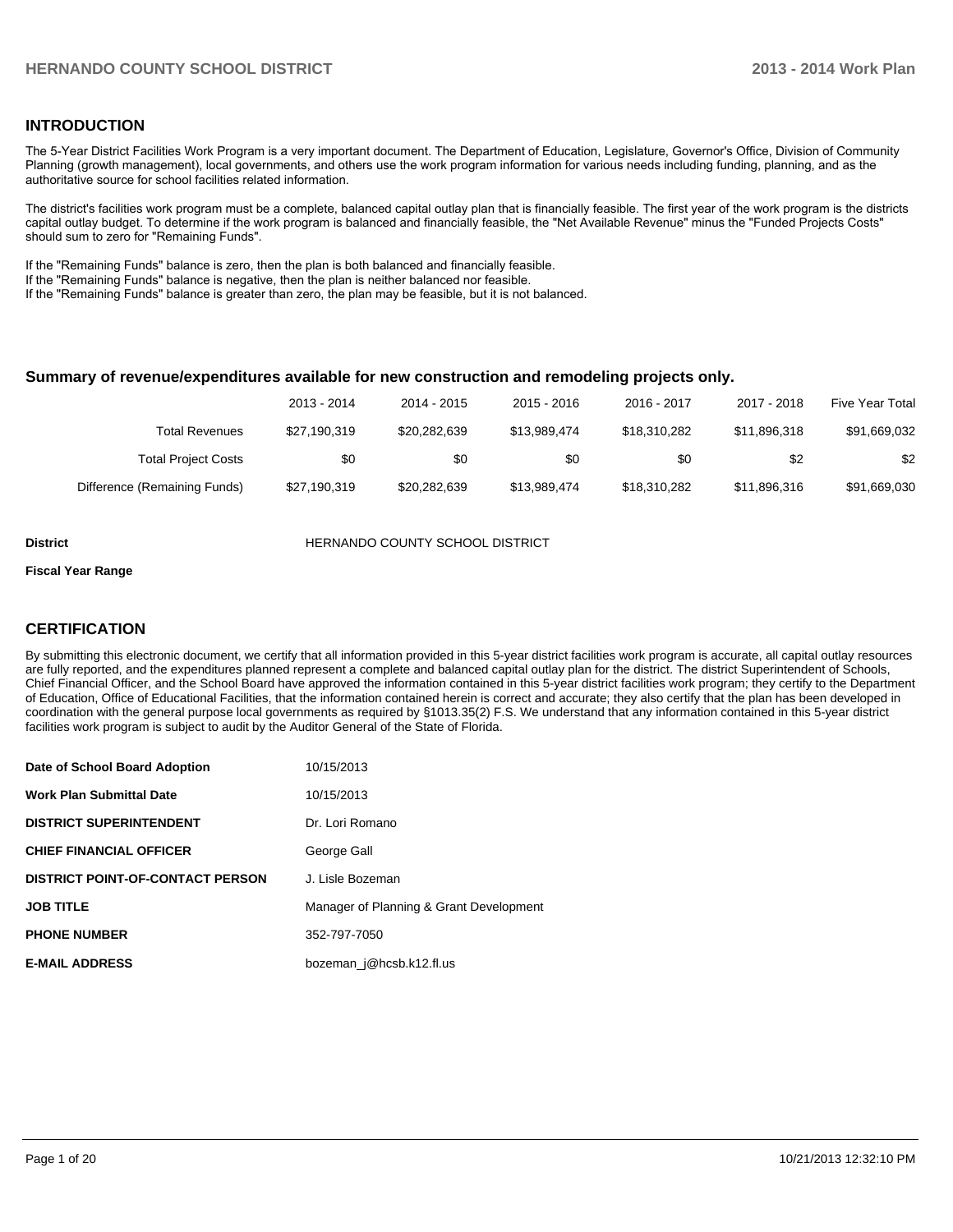#### **INTRODUCTION**

The 5-Year District Facilities Work Program is a very important document. The Department of Education, Legislature, Governor's Office, Division of Community Planning (growth management), local governments, and others use the work program information for various needs including funding, planning, and as the authoritative source for school facilities related information.

The district's facilities work program must be a complete, balanced capital outlay plan that is financially feasible. The first year of the work program is the districts capital outlay budget. To determine if the work program is balanced and financially feasible, the "Net Available Revenue" minus the "Funded Projects Costs" should sum to zero for "Remaining Funds".

If the "Remaining Funds" balance is zero, then the plan is both balanced and financially feasible.

If the "Remaining Funds" balance is negative, then the plan is neither balanced nor feasible.

If the "Remaining Funds" balance is greater than zero, the plan may be feasible, but it is not balanced.

#### **Summary of revenue/expenditures available for new construction and remodeling projects only.**

|                              | 2013 - 2014  | 2014 - 2015  | $2015 - 2016$ | 2016 - 2017  | 2017 - 2018  | Five Year Total |
|------------------------------|--------------|--------------|---------------|--------------|--------------|-----------------|
| Total Revenues               | \$27,190,319 | \$20,282,639 | \$13.989.474  | \$18,310,282 | \$11.896.318 | \$91,669,032    |
| <b>Total Project Costs</b>   | \$0          | \$0          | \$0           | \$0          | \$2          | \$2             |
| Difference (Remaining Funds) | \$27,190,319 | \$20,282,639 | \$13.989.474  | \$18,310,282 | \$11.896.316 | \$91,669,030    |

**District COUNTY SCHOOL DISTRICT** 

#### **Fiscal Year Range**

#### **CERTIFICATION**

By submitting this electronic document, we certify that all information provided in this 5-year district facilities work program is accurate, all capital outlay resources are fully reported, and the expenditures planned represent a complete and balanced capital outlay plan for the district. The district Superintendent of Schools, Chief Financial Officer, and the School Board have approved the information contained in this 5-year district facilities work program; they certify to the Department of Education, Office of Educational Facilities, that the information contained herein is correct and accurate; they also certify that the plan has been developed in coordination with the general purpose local governments as required by §1013.35(2) F.S. We understand that any information contained in this 5-year district facilities work program is subject to audit by the Auditor General of the State of Florida.

| Date of School Board Adoption           | 10/15/2013                              |
|-----------------------------------------|-----------------------------------------|
| <b>Work Plan Submittal Date</b>         | 10/15/2013                              |
| <b>DISTRICT SUPERINTENDENT</b>          | Dr. Lori Romano                         |
| <b>CHIEF FINANCIAL OFFICER</b>          | George Gall                             |
| <b>DISTRICT POINT-OF-CONTACT PERSON</b> | J. Lisle Bozeman                        |
| <b>JOB TITLE</b>                        | Manager of Planning & Grant Development |
| <b>PHONE NUMBER</b>                     | 352-797-7050                            |
| <b>E-MAIL ADDRESS</b>                   | bozeman j@hcsb.k12.fl.us                |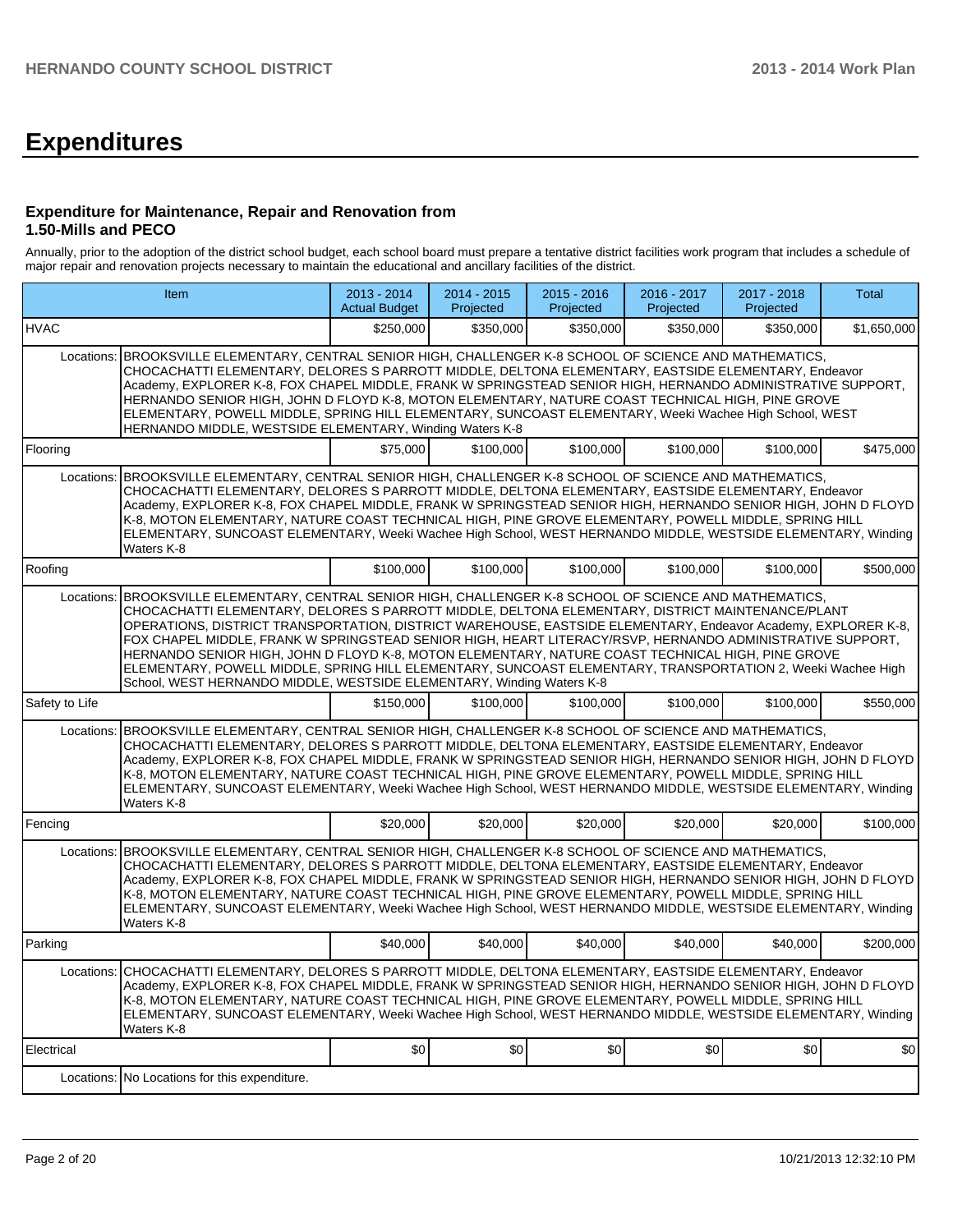# **Expenditures**

#### **Expenditure for Maintenance, Repair and Renovation from 1.50-Mills and PECO**

Annually, prior to the adoption of the district school budget, each school board must prepare a tentative district facilities work program that includes a schedule of major repair and renovation projects necessary to maintain the educational and ancillary facilities of the district.

|                | Item                                                                                                                                                                                                                                                                                                                                                                                                                                                                                                                                                                                                                                                                                                                          | 2013 - 2014<br><b>Actual Budget</b> | $2014 - 2015$<br>Projected | 2015 - 2016<br>Projected | 2016 - 2017<br>Projected | 2017 - 2018<br>Projected | Total       |  |  |  |
|----------------|-------------------------------------------------------------------------------------------------------------------------------------------------------------------------------------------------------------------------------------------------------------------------------------------------------------------------------------------------------------------------------------------------------------------------------------------------------------------------------------------------------------------------------------------------------------------------------------------------------------------------------------------------------------------------------------------------------------------------------|-------------------------------------|----------------------------|--------------------------|--------------------------|--------------------------|-------------|--|--|--|
| <b>IHVAC</b>   |                                                                                                                                                                                                                                                                                                                                                                                                                                                                                                                                                                                                                                                                                                                               | \$250.000                           | \$350.000                  | \$350.000                | \$350.000                | \$350,000                | \$1,650,000 |  |  |  |
|                | Locations: BROOKSVILLE ELEMENTARY, CENTRAL SENIOR HIGH, CHALLENGER K-8 SCHOOL OF SCIENCE AND MATHEMATICS,<br>CHOCACHATTI ELEMENTARY, DELORES S PARROTT MIDDLE, DELTONA ELEMENTARY, EASTSIDE ELEMENTARY, Endeavor<br>Academy, EXPLORER K-8, FOX CHAPEL MIDDLE, FRANK W SPRINGSTEAD SENIOR HIGH, HERNANDO ADMINISTRATIVE SUPPORT,<br>HERNANDO SENIOR HIGH, JOHN D FLOYD K-8, MOTON ELEMENTARY, NATURE COAST TECHNICAL HIGH, PINE GROVE<br>ELEMENTARY, POWELL MIDDLE, SPRING HILL ELEMENTARY, SUNCOAST ELEMENTARY, Weeki Wachee High School, WEST<br>HERNANDO MIDDLE, WESTSIDE ELEMENTARY, Winding Waters K-8                                                                                                                    |                                     |                            |                          |                          |                          |             |  |  |  |
| Flooring       |                                                                                                                                                                                                                                                                                                                                                                                                                                                                                                                                                                                                                                                                                                                               | \$75,000                            | \$100,000                  | \$100,000                | \$100,000                | \$100.000                | \$475,000   |  |  |  |
|                | Locations: BROOKSVILLE ELEMENTARY, CENTRAL SENIOR HIGH, CHALLENGER K-8 SCHOOL OF SCIENCE AND MATHEMATICS,<br>CHOCACHATTI ELEMENTARY, DELORES S PARROTT MIDDLE, DELTONA ELEMENTARY, EASTSIDE ELEMENTARY, Endeavor<br>Academy, EXPLORER K-8, FOX CHAPEL MIDDLE, FRANK W SPRINGSTEAD SENIOR HIGH, HERNANDO SENIOR HIGH, JOHN D FLOYD<br>K-8, MOTON ELEMENTARY, NATURE COAST TECHNICAL HIGH, PINE GROVE ELEMENTARY, POWELL MIDDLE, SPRING HILL<br>ELEMENTARY, SUNCOAST ELEMENTARY, Weeki Wachee High School, WEST HERNANDO MIDDLE, WESTSIDE ELEMENTARY, Winding<br>Waters K-8                                                                                                                                                     |                                     |                            |                          |                          |                          |             |  |  |  |
| Roofing        |                                                                                                                                                                                                                                                                                                                                                                                                                                                                                                                                                                                                                                                                                                                               | \$100,000                           | \$100,000                  | \$100,000                | \$100,000                | \$100,000                | \$500.000   |  |  |  |
| Locations:     | BROOKSVILLE ELEMENTARY, CENTRAL SENIOR HIGH, CHALLENGER K-8 SCHOOL OF SCIENCE AND MATHEMATICS,<br>CHOCACHATTI ELEMENTARY, DELORES S PARROTT MIDDLE, DELTONA ELEMENTARY, DISTRICT MAINTENANCE/PLANT<br>OPERATIONS, DISTRICT TRANSPORTATION, DISTRICT WAREHOUSE, EASTSIDE ELEMENTARY, Endeavor Academy, EXPLORER K-8,<br>FOX CHAPEL MIDDLE, FRANK W SPRINGSTEAD SENIOR HIGH, HEART LITERACY/RSVP, HERNANDO ADMINISTRATIVE SUPPORT,<br>HERNANDO SENIOR HIGH, JOHN D FLOYD K-8, MOTON ELEMENTARY, NATURE COAST TECHNICAL HIGH, PINE GROVE<br>ELEMENTARY, POWELL MIDDLE, SPRING HILL ELEMENTARY, SUNCOAST ELEMENTARY, TRANSPORTATION 2, Weeki Wachee High<br>School, WEST HERNANDO MIDDLE, WESTSIDE ELEMENTARY, Winding Waters K-8 |                                     |                            |                          |                          |                          |             |  |  |  |
| Safety to Life |                                                                                                                                                                                                                                                                                                                                                                                                                                                                                                                                                                                                                                                                                                                               | \$150.000                           | \$100,000                  | \$100,000                | \$100,000                | \$100,000                | \$550,000   |  |  |  |
| Locations:     | BROOKSVILLE ELEMENTARY, CENTRAL SENIOR HIGH, CHALLENGER K-8 SCHOOL OF SCIENCE AND MATHEMATICS,<br>CHOCACHATTI ELEMENTARY, DELORES S PARROTT MIDDLE, DELTONA ELEMENTARY, EASTSIDE ELEMENTARY, Endeavor<br>Academy, EXPLORER K-8, FOX CHAPEL MIDDLE, FRANK W SPRINGSTEAD SENIOR HIGH, HERNANDO SENIOR HIGH, JOHN D FLOYD<br>K-8, MOTON ELEMENTARY, NATURE COAST TECHNICAL HIGH, PINE GROVE ELEMENTARY, POWELL MIDDLE, SPRING HILL<br>ELEMENTARY, SUNCOAST ELEMENTARY, Weeki Wachee High School, WEST HERNANDO MIDDLE, WESTSIDE ELEMENTARY, Winding<br>Waters K-8                                                                                                                                                                |                                     |                            |                          |                          |                          |             |  |  |  |
| Fencing        |                                                                                                                                                                                                                                                                                                                                                                                                                                                                                                                                                                                                                                                                                                                               | \$20,000                            | \$20,000                   | \$20,000                 | \$20,000                 | \$20,000                 | \$100,000   |  |  |  |
|                | Locations: BROOKSVILLE ELEMENTARY, CENTRAL SENIOR HIGH, CHALLENGER K-8 SCHOOL OF SCIENCE AND MATHEMATICS,<br>CHOCACHATTI ELEMENTARY, DELORES S PARROTT MIDDLE, DELTONA ELEMENTARY, EASTSIDE ELEMENTARY, Endeavor<br>Academy, EXPLORER K-8, FOX CHAPEL MIDDLE, FRANK W SPRINGSTEAD SENIOR HIGH, HERNANDO SENIOR HIGH, JOHN D FLOYD<br>K-8, MOTON ELEMENTARY, NATURE COAST TECHNICAL HIGH, PINE GROVE ELEMENTARY, POWELL MIDDLE, SPRING HILL<br>ELEMENTARY, SUNCOAST ELEMENTARY, Weeki Wachee High School, WEST HERNANDO MIDDLE, WESTSIDE ELEMENTARY, Winding<br>Waters K-8                                                                                                                                                     |                                     |                            |                          |                          |                          |             |  |  |  |
| Parking        |                                                                                                                                                                                                                                                                                                                                                                                                                                                                                                                                                                                                                                                                                                                               | \$40,000                            | \$40,000                   | \$40,000                 | \$40,000                 | \$40,000                 | \$200,000   |  |  |  |
|                | Locations: CHOCACHATTI ELEMENTARY, DELORES S PARROTT MIDDLE, DELTONA ELEMENTARY, EASTSIDE ELEMENTARY, Endeavor<br>Academy, EXPLORER K-8, FOX CHAPEL MIDDLE, FRANK W SPRINGSTEAD SENIOR HIGH, HERNANDO SENIOR HIGH, JOHN D FLOYD<br>K-8, MOTON ELEMENTARY, NATURE COAST TECHNICAL HIGH, PINE GROVE ELEMENTARY, POWELL MIDDLE, SPRING HILL<br>ELEMENTARY, SUNCOAST ELEMENTARY, Weeki Wachee High School, WEST HERNANDO MIDDLE, WESTSIDE ELEMENTARY, Winding<br>Waters K-8                                                                                                                                                                                                                                                       |                                     |                            |                          |                          |                          |             |  |  |  |
| Electrical     |                                                                                                                                                                                                                                                                                                                                                                                                                                                                                                                                                                                                                                                                                                                               | \$0                                 | \$0                        | SO                       | \$0                      | \$0                      | \$0         |  |  |  |
|                | Locations: No Locations for this expenditure.                                                                                                                                                                                                                                                                                                                                                                                                                                                                                                                                                                                                                                                                                 |                                     |                            |                          |                          |                          |             |  |  |  |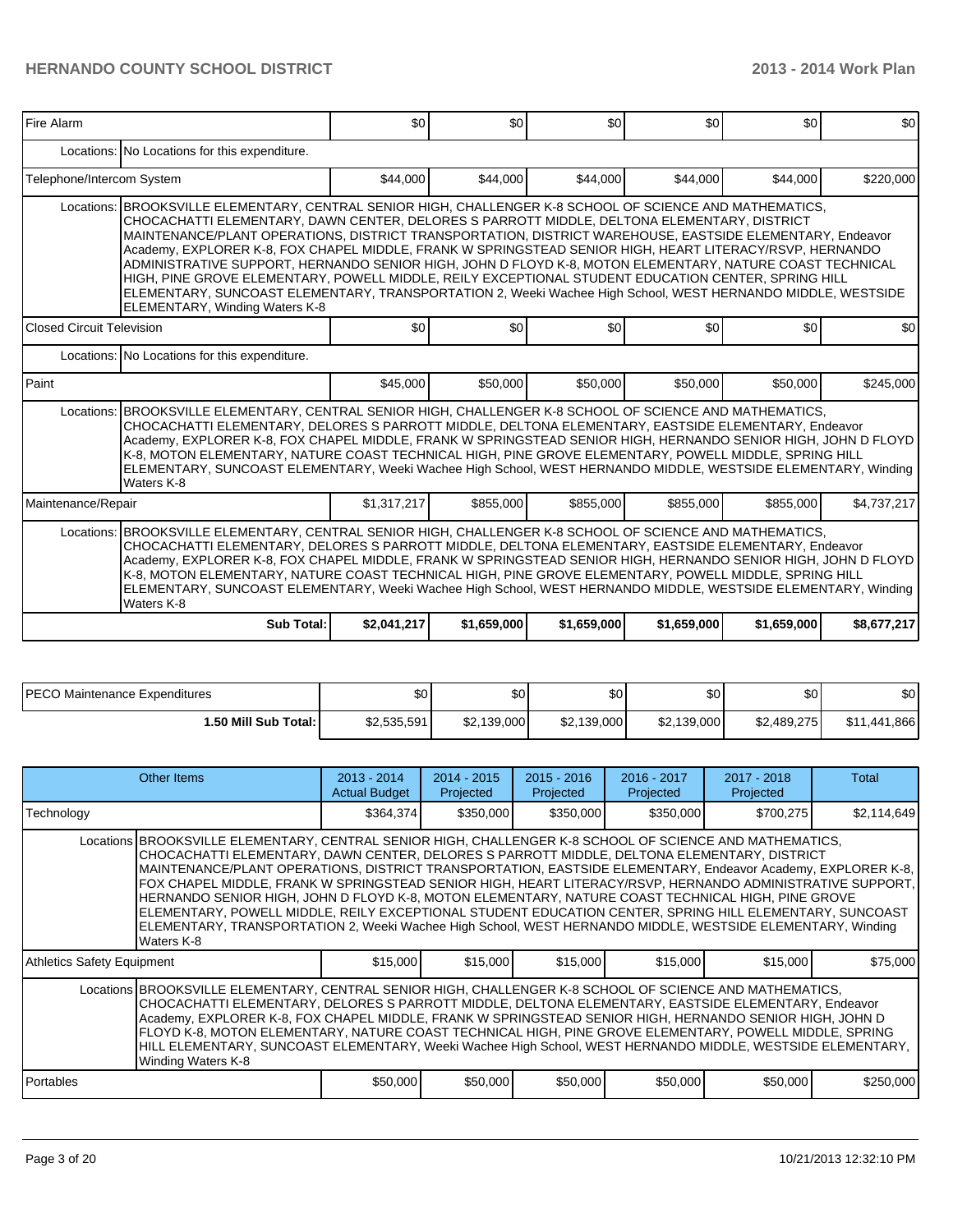| <b>Fire Alarm</b>         |                                                                                                                                                                                                                                                                                                                                                                                                                                                                                                                                                                                                                                                                                                                                                                                                      | \$0         | \$0         | \$0         | \$0         | \$0         | \$0         |  |  |  |
|---------------------------|------------------------------------------------------------------------------------------------------------------------------------------------------------------------------------------------------------------------------------------------------------------------------------------------------------------------------------------------------------------------------------------------------------------------------------------------------------------------------------------------------------------------------------------------------------------------------------------------------------------------------------------------------------------------------------------------------------------------------------------------------------------------------------------------------|-------------|-------------|-------------|-------------|-------------|-------------|--|--|--|
|                           | Locations: No Locations for this expenditure.                                                                                                                                                                                                                                                                                                                                                                                                                                                                                                                                                                                                                                                                                                                                                        |             |             |             |             |             |             |  |  |  |
| Telephone/Intercom System |                                                                                                                                                                                                                                                                                                                                                                                                                                                                                                                                                                                                                                                                                                                                                                                                      | \$44,000    | \$44.000    | \$44,000    | \$44,000    | \$44,000    | \$220,000   |  |  |  |
|                           | Locations: BROOKSVILLE ELEMENTARY, CENTRAL SENIOR HIGH, CHALLENGER K-8 SCHOOL OF SCIENCE AND MATHEMATICS,<br>CHOCACHATTI ELEMENTARY, DAWN CENTER, DELORES S PARROTT MIDDLE, DELTONA ELEMENTARY, DISTRICT<br>MAINTENANCE/PLANT OPERATIONS, DISTRICT TRANSPORTATION, DISTRICT WAREHOUSE, EASTSIDE ELEMENTARY, Endeavor<br>Academy, EXPLORER K-8, FOX CHAPEL MIDDLE, FRANK W SPRINGSTEAD SENIOR HIGH, HEART LITERACY/RSVP, HERNANDO<br>ADMINISTRATIVE SUPPORT, HERNANDO SENIOR HIGH, JOHN D FLOYD K-8, MOTON ELEMENTARY, NATURE COAST TECHNICAL<br>HIGH, PINE GROVE ELEMENTARY, POWELL MIDDLE, REILY EXCEPTIONAL STUDENT EDUCATION CENTER, SPRING HILL<br>ELEMENTARY, SUNCOAST ELEMENTARY, TRANSPORTATION 2, Weeki Wachee High School, WEST HERNANDO MIDDLE, WESTSIDE<br>ELEMENTARY, Winding Waters K-8 |             |             |             |             |             |             |  |  |  |
| Closed Circuit Television |                                                                                                                                                                                                                                                                                                                                                                                                                                                                                                                                                                                                                                                                                                                                                                                                      | \$0         | \$0         | \$0         | \$0         | \$0         | \$0         |  |  |  |
|                           | Locations: No Locations for this expenditure.                                                                                                                                                                                                                                                                                                                                                                                                                                                                                                                                                                                                                                                                                                                                                        |             |             |             |             |             |             |  |  |  |
| l Paint                   |                                                                                                                                                                                                                                                                                                                                                                                                                                                                                                                                                                                                                                                                                                                                                                                                      | \$45,000    | \$50,000    | \$50,000    | \$50,000    | \$50,000    | \$245,000   |  |  |  |
|                           | Locations: BROOKSVILLE ELEMENTARY, CENTRAL SENIOR HIGH, CHALLENGER K-8 SCHOOL OF SCIENCE AND MATHEMATICS.<br>CHOCACHATTI ELEMENTARY, DELORES S PARROTT MIDDLE, DELTONA ELEMENTARY, EASTSIDE ELEMENTARY, Endeavor<br>Academy, EXPLORER K-8, FOX CHAPEL MIDDLE, FRANK W SPRINGSTEAD SENIOR HIGH, HERNANDO SENIOR HIGH, JOHN D FLOYD<br>K-8, MOTON ELEMENTARY, NATURE COAST TECHNICAL HIGH, PINE GROVE ELEMENTARY, POWELL MIDDLE, SPRING HILL<br>ELEMENTARY, SUNCOAST ELEMENTARY, Weeki Wachee High School, WEST HERNANDO MIDDLE, WESTSIDE ELEMENTARY, Winding<br>Waters K-8                                                                                                                                                                                                                            |             |             |             |             |             |             |  |  |  |
| Maintenance/Repair        |                                                                                                                                                                                                                                                                                                                                                                                                                                                                                                                                                                                                                                                                                                                                                                                                      | \$1,317,217 | \$855,000   | \$855,000   | \$855,000   | \$855,000   | \$4,737,217 |  |  |  |
|                           | Locations: BROOKSVILLE ELEMENTARY, CENTRAL SENIOR HIGH, CHALLENGER K-8 SCHOOL OF SCIENCE AND MATHEMATICS,<br>CHOCACHATTI ELEMENTARY, DELORES S PARROTT MIDDLE, DELTONA ELEMENTARY, EASTSIDE ELEMENTARY, Endeavor<br>Academy, EXPLORER K-8, FOX CHAPEL MIDDLE, FRANK W SPRINGSTEAD SENIOR HIGH, HERNANDO SENIOR HIGH, JOHN D FLOYD<br>K-8, MOTON ELEMENTARY, NATURE COAST TECHNICAL HIGH, PINE GROVE ELEMENTARY, POWELL MIDDLE, SPRING HILL<br>ELEMENTARY, SUNCOAST ELEMENTARY, Weeki Wachee High School, WEST HERNANDO MIDDLE, WESTSIDE ELEMENTARY, Winding<br>Waters K-8                                                                                                                                                                                                                            |             |             |             |             |             |             |  |  |  |
|                           | Sub Total:                                                                                                                                                                                                                                                                                                                                                                                                                                                                                                                                                                                                                                                                                                                                                                                           | \$2,041,217 | \$1,659,000 | \$1,659,000 | \$1,659,000 | \$1,659,000 | \$8,677,217 |  |  |  |

| <b>IPECO Maintenance Expenditures</b> | \$0         | \$0 <sub>1</sub> | ΦΩ<br>υυ    | ሶሳ<br>ΦU    | \$0         | \$0          |
|---------------------------------------|-------------|------------------|-------------|-------------|-------------|--------------|
| 1.50 Mill Sub Total: I                | \$2,535,591 | \$2,139,000      | \$2,139,000 | \$2,139,000 | \$2,489,275 | \$11,441,866 |

|                                                                                                                                                                                                                                                                                                                                                                                                                                                                                                                                                                          | Other Items                                                                                                                                                                                                                                                                                                                                                                                                                                                                                                                                                                                                                                                                                                                                                                     | $2013 - 2014$<br><b>Actual Budget</b> | $2014 - 2015$<br>Projected | $2015 - 2016$<br>Projected | 2016 - 2017<br>Projected | $2017 - 2018$<br>Projected | Total       |  |
|--------------------------------------------------------------------------------------------------------------------------------------------------------------------------------------------------------------------------------------------------------------------------------------------------------------------------------------------------------------------------------------------------------------------------------------------------------------------------------------------------------------------------------------------------------------------------|---------------------------------------------------------------------------------------------------------------------------------------------------------------------------------------------------------------------------------------------------------------------------------------------------------------------------------------------------------------------------------------------------------------------------------------------------------------------------------------------------------------------------------------------------------------------------------------------------------------------------------------------------------------------------------------------------------------------------------------------------------------------------------|---------------------------------------|----------------------------|----------------------------|--------------------------|----------------------------|-------------|--|
| Technology                                                                                                                                                                                                                                                                                                                                                                                                                                                                                                                                                               |                                                                                                                                                                                                                                                                                                                                                                                                                                                                                                                                                                                                                                                                                                                                                                                 | \$364,374                             | \$350,000                  | \$350,000                  | \$350,000                | \$700,275                  | \$2,114,649 |  |
|                                                                                                                                                                                                                                                                                                                                                                                                                                                                                                                                                                          | Locations BROOKSVILLE ELEMENTARY, CENTRAL SENIOR HIGH, CHALLENGER K-8 SCHOOL OF SCIENCE AND MATHEMATICS,<br>CHOCACHATTI ELEMENTARY, DAWN CENTER, DELORES S PARROTT MIDDLE, DELTONA ELEMENTARY, DISTRICT<br>MAINTENANCE/PLANT OPERATIONS, DISTRICT TRANSPORTATION, EASTSIDE ELEMENTARY, Endeavor Academy, EXPLORER K-8,<br>FOX CHAPEL MIDDLE, FRANK W SPRINGSTEAD SENIOR HIGH, HEART LITERACY/RSVP, HERNANDO ADMINISTRATIVE SUPPORT,<br>HERNANDO SENIOR HIGH, JOHN D FLOYD K-8, MOTON ELEMENTARY, NATURE COAST TECHNICAL HIGH, PINE GROVE<br>ELEMENTARY, POWELL MIDDLE, REILY EXCEPTIONAL STUDENT EDUCATION CENTER, SPRING HILL ELEMENTARY, SUNCOAST<br>ELEMENTARY, TRANSPORTATION 2, Weeki Wachee High School, WEST HERNANDO MIDDLE, WESTSIDE ELEMENTARY, Winding<br>Waters K-8 |                                       |                            |                            |                          |                            |             |  |
| Athletics Safety Equipment                                                                                                                                                                                                                                                                                                                                                                                                                                                                                                                                               |                                                                                                                                                                                                                                                                                                                                                                                                                                                                                                                                                                                                                                                                                                                                                                                 | \$15,000                              | \$15,000                   | \$15,000                   | \$15,000                 | \$15,000                   | \$75,000    |  |
| Locations BROOKSVILLE ELEMENTARY, CENTRAL SENIOR HIGH, CHALLENGER K-8 SCHOOL OF SCIENCE AND MATHEMATICS,<br>CHOCACHATTI ELEMENTARY, DELORES S PARROTT MIDDLE, DELTONA ELEMENTARY, EASTSIDE ELEMENTARY, Endeavor<br>Academy, EXPLORER K-8, FOX CHAPEL MIDDLE, FRANK W SPRINGSTEAD SENIOR HIGH, HERNANDO SENIOR HIGH, JOHN D<br>FLOYD K-8, MOTON ELEMENTARY, NATURE COAST TECHNICAL HIGH, PINE GROVE ELEMENTARY, POWELL MIDDLE, SPRING<br>HILL ELEMENTARY, SUNCOAST ELEMENTARY, Weeki Wachee High School, WEST HERNANDO MIDDLE, WESTSIDE ELEMENTARY,<br>Winding Waters K-8 |                                                                                                                                                                                                                                                                                                                                                                                                                                                                                                                                                                                                                                                                                                                                                                                 |                                       |                            |                            |                          |                            |             |  |
| <b>I</b> Portables                                                                                                                                                                                                                                                                                                                                                                                                                                                                                                                                                       |                                                                                                                                                                                                                                                                                                                                                                                                                                                                                                                                                                                                                                                                                                                                                                                 | \$50,000                              | \$50,000                   | \$50,000                   | \$50,000                 | \$50,000                   | \$250,000   |  |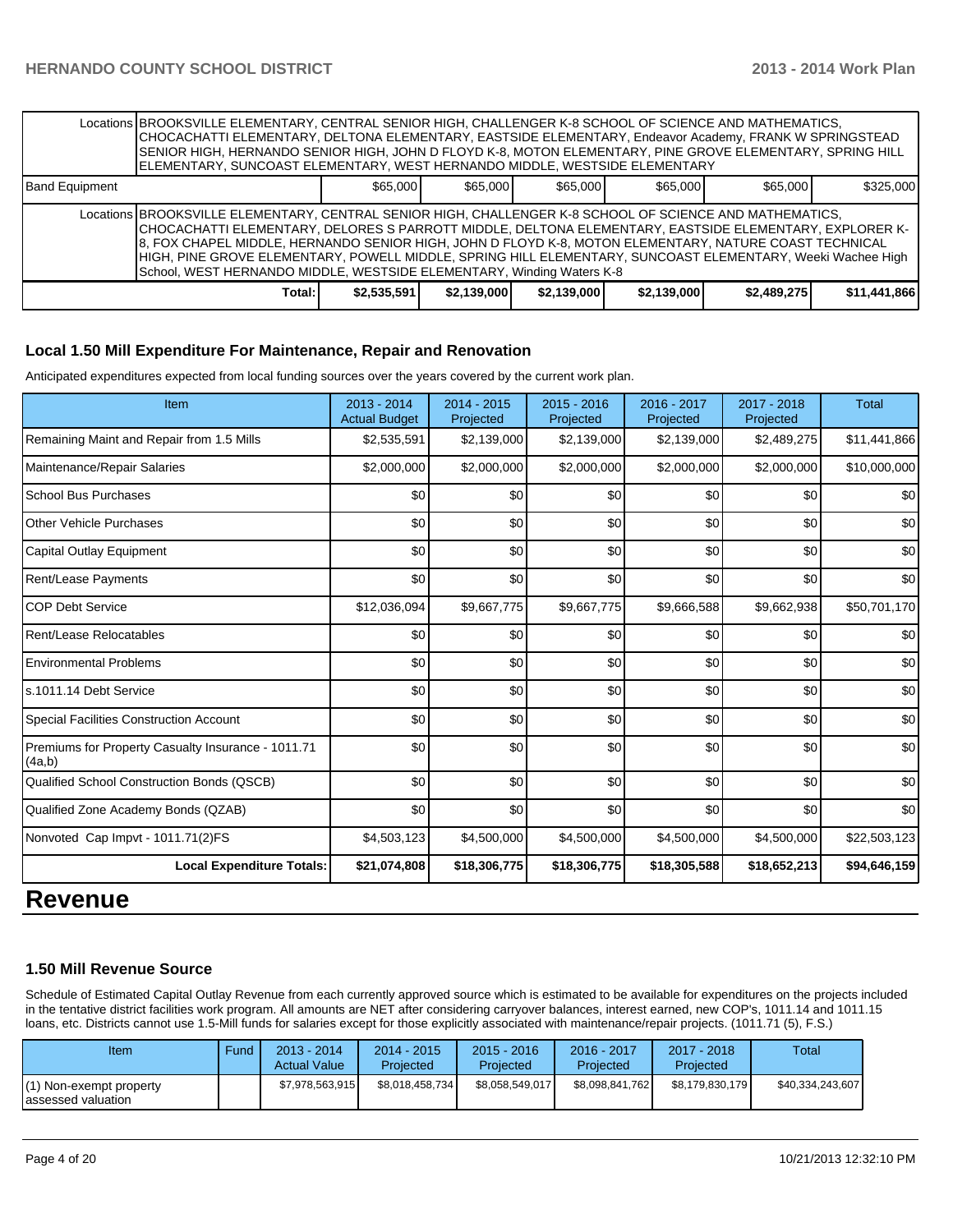|                                                                                   | Locations BROOKSVILLE ELEMENTARY, CENTRAL SENIOR HIGH, CHALLENGER K-8 SCHOOL OF SCIENCE AND MATHEMATICS,<br>CHOCACHATTI ELEMENTARY, DELTONA ELEMENTARY, EASTSIDE ELEMENTARY, Endeavor Academy, FRANK W SPRINGSTEAD<br>SENIOR HIGH, HERNANDO SENIOR HIGH, JOHN D FLOYD K-8, MOTON ELEMENTARY, PINE GROVE ELEMENTARY, SPRING HILL<br>ELEMENTARY, SUNCOAST ELEMENTARY, WEST HERNANDO MIDDLE, WESTSIDE ELEMENTARY                                                                                                        |             |             |             |             |             |              |  |  |
|-----------------------------------------------------------------------------------|----------------------------------------------------------------------------------------------------------------------------------------------------------------------------------------------------------------------------------------------------------------------------------------------------------------------------------------------------------------------------------------------------------------------------------------------------------------------------------------------------------------------|-------------|-------------|-------------|-------------|-------------|--------------|--|--|
| \$65,000<br>\$65,000<br>\$65,000<br>\$65,000<br>\$65,000<br><b>Band Equipment</b> |                                                                                                                                                                                                                                                                                                                                                                                                                                                                                                                      |             |             |             | \$325,000   |             |              |  |  |
|                                                                                   | Locations BROOKSVILLE ELEMENTARY, CENTRAL SENIOR HIGH, CHALLENGER K-8 SCHOOL OF SCIENCE AND MATHEMATICS,<br> CHOCACHATTI ELEMENTARY, DELORES S PARROTT MIDDLE, DELTONA ELEMENTARY, EASTSIDE ELEMENTARY, EXPLORER K-<br>8. FOX CHAPEL MIDDLE, HERNANDO SENIOR HIGH, JOHN D FLOYD K-8, MOTON ELEMENTARY, NATURE COAST TECHNICAL<br>HIGH, PINE GROVE ELEMENTARY, POWELL MIDDLE, SPRING HILL ELEMENTARY, SUNCOAST ELEMENTARY, Weeki Wachee High<br>School, WEST HERNANDO MIDDLE, WESTSIDE ELEMENTARY, Winding Waters K-8 |             |             |             |             |             |              |  |  |
|                                                                                   | Total:                                                                                                                                                                                                                                                                                                                                                                                                                                                                                                               | \$2,535,591 | \$2,139,000 | \$2,139,000 | \$2,139,000 | \$2,489,275 | \$11,441,866 |  |  |

#### **Local 1.50 Mill Expenditure For Maintenance, Repair and Renovation**

Anticipated expenditures expected from local funding sources over the years covered by the current work plan.

| Item                                                         | 2013 - 2014<br><b>Actual Budget</b> | 2014 - 2015<br>Projected | 2015 - 2016<br>Projected | 2016 - 2017<br>Projected | 2017 - 2018<br>Projected | <b>Total</b> |
|--------------------------------------------------------------|-------------------------------------|--------------------------|--------------------------|--------------------------|--------------------------|--------------|
| Remaining Maint and Repair from 1.5 Mills                    | \$2,535,591                         | \$2,139,000              | \$2,139,000              | \$2,139,000              | \$2,489,275              | \$11,441,866 |
| Maintenance/Repair Salaries                                  | \$2,000,000                         | \$2,000,000              | \$2,000,000              | \$2,000,000              | \$2,000,000              | \$10,000,000 |
| <b>School Bus Purchases</b>                                  | \$0                                 | \$0                      | \$0                      | \$0                      | \$0                      | \$0          |
| <b>Other Vehicle Purchases</b>                               | \$0                                 | \$0                      | \$0                      | \$0                      | \$0                      | \$0          |
| Capital Outlay Equipment                                     | \$0                                 | \$0                      | \$0                      | \$0                      | \$0                      | \$0          |
| Rent/Lease Payments                                          | \$0                                 | \$0                      | \$0                      | \$0                      | \$0                      | \$0          |
| <b>COP Debt Service</b>                                      | \$12,036,094                        | \$9,667,775              | \$9,667,775              | \$9,666,588              | \$9,662,938              | \$50,701,170 |
| Rent/Lease Relocatables                                      | \$0                                 | \$0                      | \$0                      | \$0                      | \$0                      | \$0          |
| <b>Environmental Problems</b>                                | \$0                                 | \$0                      | \$0                      | \$0                      | \$0                      | \$0          |
| s.1011.14 Debt Service                                       | \$0                                 | \$0                      | \$0                      | \$0                      | \$0                      | \$0          |
| Special Facilities Construction Account                      | \$0                                 | \$0                      | \$0                      | \$0                      | \$0                      | \$0          |
| Premiums for Property Casualty Insurance - 1011.71<br>(4a,b) | \$0                                 | \$0                      | \$0                      | \$0                      | \$0                      | \$0          |
| Qualified School Construction Bonds (QSCB)                   | \$0                                 | \$0                      | \$0                      | \$0                      | \$0                      | \$0          |
| Qualified Zone Academy Bonds (QZAB)                          | \$0                                 | \$0                      | \$0                      | \$0                      | \$0                      | \$0          |
| Nonvoted Cap Impvt - 1011.71(2)FS                            | \$4,503,123                         | \$4,500,000              | \$4,500,000              | \$4,500,000              | \$4,500,000              | \$22,503,123 |
| <b>Local Expenditure Totals:</b>                             | \$21,074,808                        | \$18,306,775             | \$18,306,775             | \$18,305,588             | \$18,652,213             | \$94,646,159 |

# **Revenue**

#### **1.50 Mill Revenue Source**

Schedule of Estimated Capital Outlay Revenue from each currently approved source which is estimated to be available for expenditures on the projects included in the tentative district facilities work program. All amounts are NET after considering carryover balances, interest earned, new COP's, 1011.14 and 1011.15 loans, etc. Districts cannot use 1.5-Mill funds for salaries except for those explicitly associated with maintenance/repair projects. (1011.71 (5), F.S.)

| Item                                           | Fund | $2013 - 2014$<br><b>Actual Value</b> | $2014 - 2015$<br>Projected | 2015 - 2016<br><b>Projected</b> | 2016 - 2017<br>Projected | 2017 - 2018<br>Projected | Total            |
|------------------------------------------------|------|--------------------------------------|----------------------------|---------------------------------|--------------------------|--------------------------|------------------|
| (1) Non-exempt property<br>lassessed valuation |      | \$7,978,563,915                      | \$8,018,458,734            | \$8,058,549,017                 | \$8,098,841,762          | \$8.179.830.179          | \$40,334,243,607 |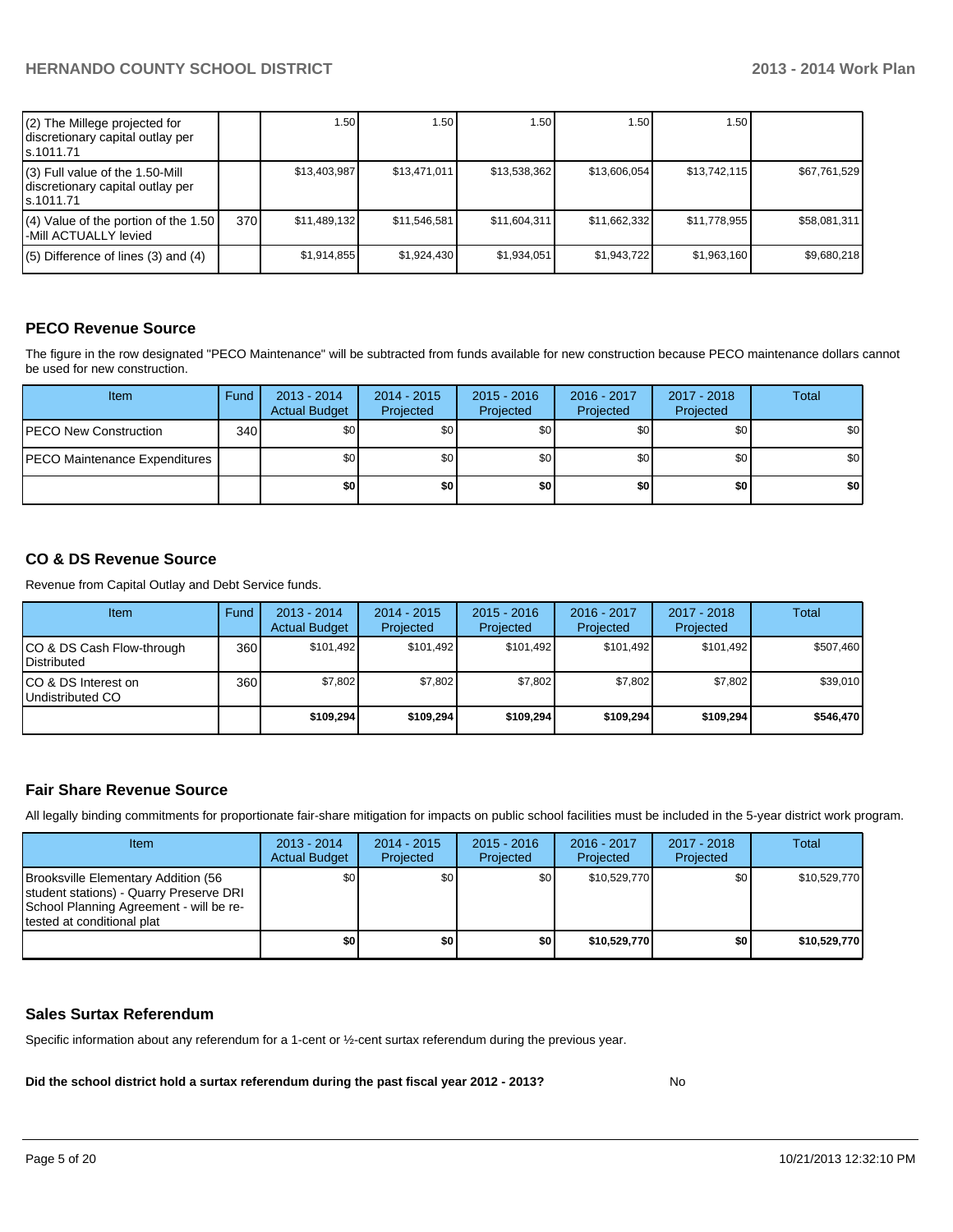| (2) The Millege projected for<br>discretionary capital outlay per<br>ls.1011.71   |     | 1.50 l       | 1.50         | .50 <sub>1</sub> | 1.50         | 1.50 I       |              |
|-----------------------------------------------------------------------------------|-----|--------------|--------------|------------------|--------------|--------------|--------------|
| (3) Full value of the 1.50-Mill<br>discretionary capital outlay per<br>ls.1011.71 |     | \$13,403,987 | \$13.471.011 | \$13,538,362     | \$13,606,054 | \$13,742,115 | \$67,761,529 |
| $(4)$ Value of the portion of the 1.50<br>l-Mill ACTUALLY levied                  | 370 | \$11,489,132 | \$11,546,581 | \$11,604,311     | \$11,662,332 | \$11,778,955 | \$58,081,311 |
| $(5)$ Difference of lines $(3)$ and $(4)$                                         |     | \$1,914,855  | \$1,924,430  | \$1,934,051      | \$1,943,722  | \$1,963,160  | \$9,680,218  |

# **PECO Revenue Source**

The figure in the row designated "PECO Maintenance" will be subtracted from funds available for new construction because PECO maintenance dollars cannot be used for new construction.

| Item                                  | Fund | $2013 - 2014$<br><b>Actual Budget</b> | $2014 - 2015$<br>Projected | $2015 - 2016$<br>Projected | 2016 - 2017<br>Projected | 2017 - 2018<br>Projected | Total            |
|---------------------------------------|------|---------------------------------------|----------------------------|----------------------------|--------------------------|--------------------------|------------------|
| <b>PECO New Construction</b>          | 340  | \$0 I                                 | \$0                        | \$0                        | \$0                      | \$0 <sub>1</sub>         | \$0 <sub>1</sub> |
| <b>IPECO Maintenance Expenditures</b> |      | \$O I                                 | \$0                        | \$0                        | \$0                      | \$0                      | \$0 <sub>1</sub> |
|                                       |      | \$O I                                 | \$0                        | \$0                        | \$0                      | \$0                      | \$0              |

#### **CO & DS Revenue Source**

Revenue from Capital Outlay and Debt Service funds.

| Item                                             | Fund | 2013 - 2014<br><b>Actual Budget</b> | $2014 - 2015$<br>Projected | $2015 - 2016$<br>Projected | 2016 - 2017<br>Projected | $2017 - 2018$<br>Projected | Total     |
|--------------------------------------------------|------|-------------------------------------|----------------------------|----------------------------|--------------------------|----------------------------|-----------|
| ICO & DS Cash Flow-through<br><b>Distributed</b> | 360  | \$101.492                           | \$101.492                  | \$101.492                  | \$101.492                | \$101.492                  | \$507,460 |
| ICO & DS Interest on<br>Undistributed CO         | 360  | \$7,802                             | \$7,802                    | \$7,802                    | \$7,802                  | \$7,802                    | \$39,010  |
|                                                  |      | \$109.294                           | \$109.294                  | \$109.294                  | \$109,294                | \$109,294                  | \$546,470 |

#### **Fair Share Revenue Source**

All legally binding commitments for proportionate fair-share mitigation for impacts on public school facilities must be included in the 5-year district work program.

| <b>Item</b>                                                                                                                                             | $2013 - 2014$<br><b>Actual Budget</b> | $2014 - 2015$<br>Projected | $2015 - 2016$<br>Projected | $2016 - 2017$<br>Projected | $2017 - 2018$<br>Projected | Total        |
|---------------------------------------------------------------------------------------------------------------------------------------------------------|---------------------------------------|----------------------------|----------------------------|----------------------------|----------------------------|--------------|
| Brooksville Elementary Addition (56<br>student stations) - Quarry Preserve DRI<br>School Planning Agreement - will be re-<br>tested at conditional plat | \$0                                   | \$0 <sub>1</sub>           | \$0                        | \$10.529.770               | \$0 <sub>1</sub>           | \$10,529,770 |
|                                                                                                                                                         | \$0                                   | \$0                        | \$0                        | \$10,529,770               | \$0                        | \$10,529,770 |

#### **Sales Surtax Referendum**

Specific information about any referendum for a 1-cent or ½-cent surtax referendum during the previous year.

**Did the school district hold a surtax referendum during the past fiscal year 2012 - 2013?**

No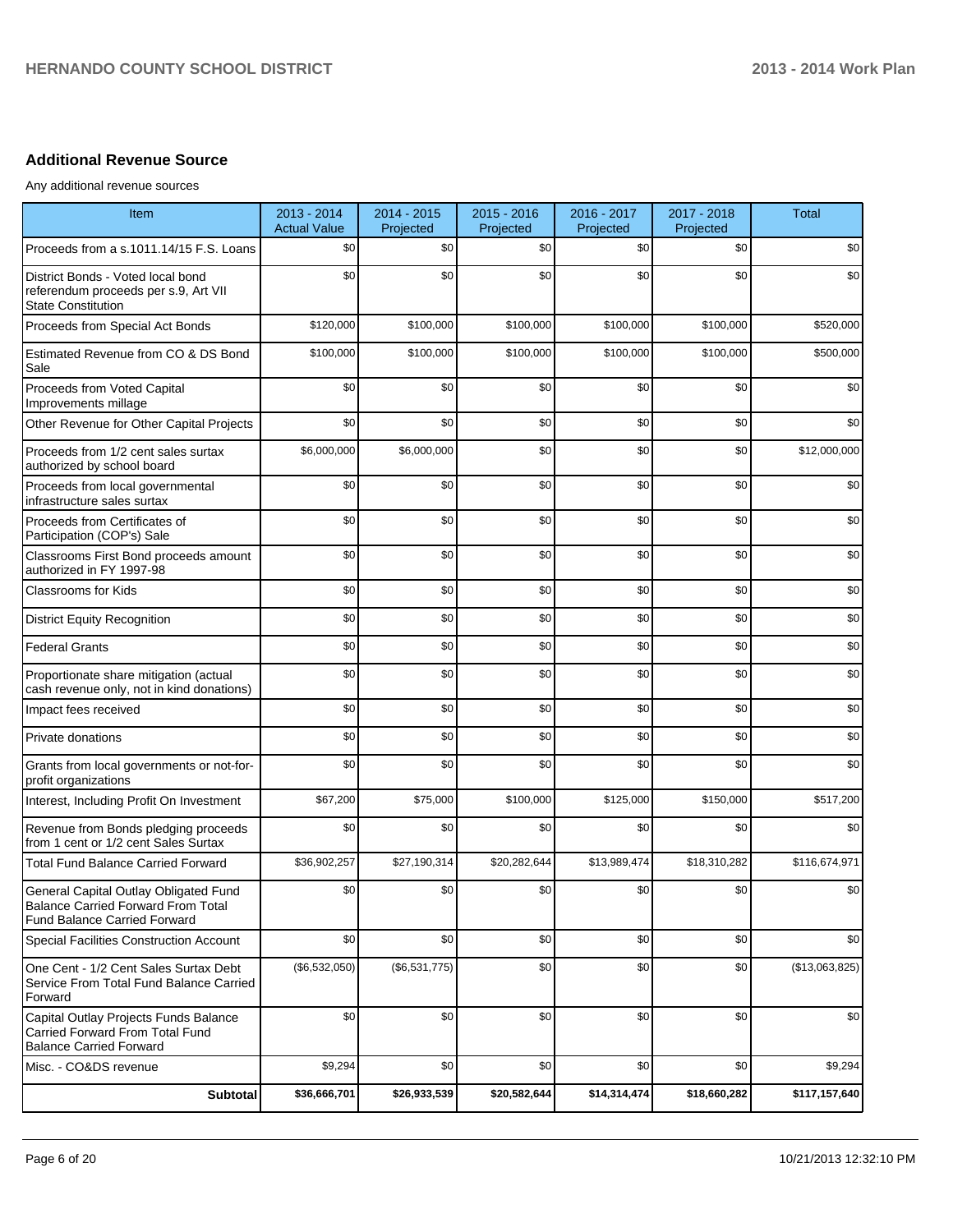# **Additional Revenue Source**

Any additional revenue sources

| Item                                                                                                                      | 2013 - 2014<br><b>Actual Value</b> | 2014 - 2015<br>Projected | 2015 - 2016<br>Projected | 2016 - 2017<br>Projected | 2017 - 2018<br>Projected | <b>Total</b>   |
|---------------------------------------------------------------------------------------------------------------------------|------------------------------------|--------------------------|--------------------------|--------------------------|--------------------------|----------------|
| Proceeds from a s.1011.14/15 F.S. Loans                                                                                   | \$0                                | \$0                      | \$0                      | \$0                      | \$0                      | \$0            |
| District Bonds - Voted local bond<br>referendum proceeds per s.9, Art VII<br><b>State Constitution</b>                    | \$0                                | \$0                      | \$0                      | \$0                      | \$0                      | \$0            |
| Proceeds from Special Act Bonds                                                                                           | \$120,000                          | \$100,000                | \$100,000                | \$100,000                | \$100,000                | \$520,000      |
| Estimated Revenue from CO & DS Bond<br>Sale                                                                               | \$100,000                          | \$100,000                | \$100,000                | \$100,000                | \$100,000                | \$500,000      |
| Proceeds from Voted Capital<br>Improvements millage                                                                       | \$0                                | \$0                      | \$0                      | \$0                      | \$0                      | \$0            |
| Other Revenue for Other Capital Projects                                                                                  | \$0                                | \$0                      | \$0                      | \$0                      | \$0                      | \$0            |
| Proceeds from 1/2 cent sales surtax<br>authorized by school board                                                         | \$6,000,000                        | \$6,000,000              | \$0                      | \$0                      | \$0                      | \$12,000,000   |
| Proceeds from local governmental<br>infrastructure sales surtax                                                           | \$0                                | \$0                      | \$0                      | \$0                      | \$0                      | \$0            |
| Proceeds from Certificates of<br>Participation (COP's) Sale                                                               | \$0                                | \$0                      | \$0                      | \$0                      | \$0                      | \$0            |
| Classrooms First Bond proceeds amount<br>authorized in FY 1997-98                                                         | \$0                                | \$0                      | \$0                      | \$0                      | \$0                      | \$0            |
| <b>Classrooms for Kids</b>                                                                                                | \$0                                | \$0                      | \$0                      | \$0                      | \$0                      | \$0            |
| <b>District Equity Recognition</b>                                                                                        | \$0                                | \$0                      | \$0                      | \$0                      | \$0                      | \$0            |
| <b>Federal Grants</b>                                                                                                     | \$0                                | \$0                      | \$0                      | \$0                      | \$0                      | \$0            |
| Proportionate share mitigation (actual<br>cash revenue only, not in kind donations)                                       | \$0                                | \$0                      | \$0                      | \$0                      | \$0                      | \$0            |
| Impact fees received                                                                                                      | \$0                                | \$0                      | \$0                      | \$0                      | \$0                      | \$0            |
| Private donations                                                                                                         | \$0                                | \$0                      | \$0                      | \$0                      | \$0                      | \$0            |
| Grants from local governments or not-for-<br>profit organizations                                                         | \$0                                | \$0                      | \$0                      | \$0                      | \$0                      | \$0            |
| Interest, Including Profit On Investment                                                                                  | \$67,200                           | \$75,000                 | \$100,000                | \$125,000                | \$150,000                | \$517,200      |
| Revenue from Bonds pledging proceeds<br>from 1 cent or 1/2 cent Sales Surtax                                              | \$0                                | \$0                      | \$0                      | \$0                      | \$0                      | \$0            |
| <b>Total Fund Balance Carried Forward</b>                                                                                 | \$36,902,257                       | \$27,190,314             | \$20,282,644             | \$13,989,474             | \$18,310,282             | \$116,674,971  |
| General Capital Outlay Obligated Fund<br><b>Balance Carried Forward From Total</b><br><b>Fund Balance Carried Forward</b> | \$0                                | \$0                      | \$0                      | \$0                      | \$0                      | \$0            |
| Special Facilities Construction Account                                                                                   | \$0                                | \$0                      | \$0                      | \$0                      | \$0                      | \$0            |
| One Cent - 1/2 Cent Sales Surtax Debt<br>Service From Total Fund Balance Carried<br>Forward                               | (\$6,532,050)                      | (\$6,531,775)            | \$0                      | \$0                      | \$0                      | (\$13,063,825) |
| Capital Outlay Projects Funds Balance<br>Carried Forward From Total Fund<br><b>Balance Carried Forward</b>                | \$0                                | \$0                      | \$0                      | \$0                      | \$0                      | \$0            |
| Misc. - CO&DS revenue                                                                                                     | \$9,294                            | \$0                      | \$0                      | \$0                      | \$0                      | \$9,294        |
| Subtotal                                                                                                                  | \$36,666,701                       | \$26,933,539             | \$20,582,644             | \$14,314,474             | \$18,660,282             | \$117,157,640  |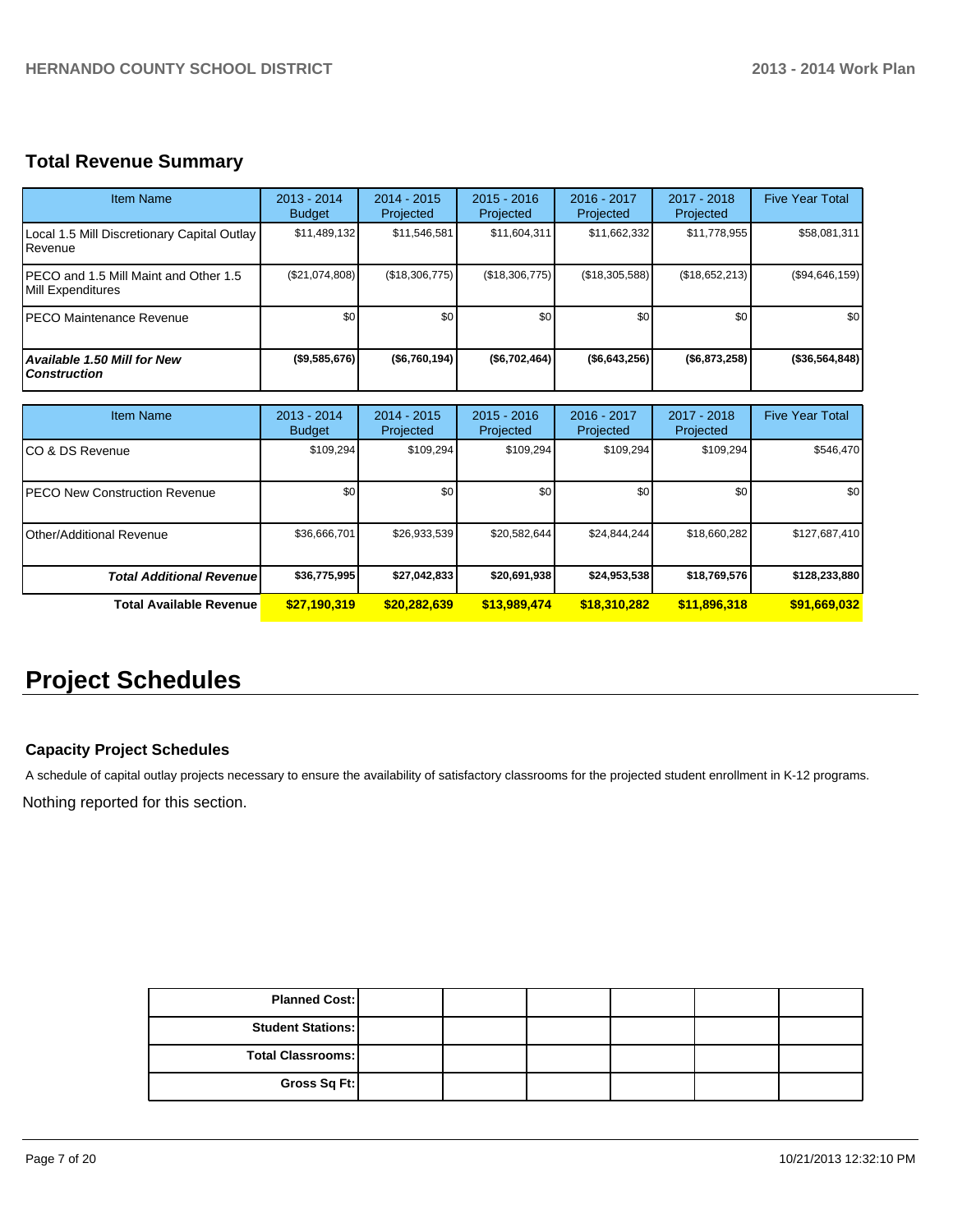# **Total Revenue Summary**

| <b>Item Name</b>                                            | $2013 - 2014$<br><b>Budget</b> | $2014 - 2015$<br>Projected | $2015 - 2016$<br>Projected | $2016 - 2017$<br>Projected | $2017 - 2018$<br>Projected | <b>Five Year Total</b> |
|-------------------------------------------------------------|--------------------------------|----------------------------|----------------------------|----------------------------|----------------------------|------------------------|
| Local 1.5 Mill Discretionary Capital Outlay<br>l Revenue    | \$11,489,132                   | \$11,546,581               | \$11,604,311               | \$11,662,332               | \$11,778,955               | \$58,081,311           |
| IPECO and 1.5 Mill Maint and Other 1.5<br>Mill Expenditures | (\$21,074,808)                 | (\$18,306,775)             | (\$18,306,775)             | (\$18,305,588)             | (\$18,652,213)             | (\$94,646,159)         |
| IPECO Maintenance Revenue                                   | \$0                            | \$0                        | \$0                        | \$0                        | \$0                        | \$0 <sub>1</sub>       |
| Available 1.50 Mill for New<br><b>Construction</b>          | ( \$9,585,676)                 | ( \$6,760,194)             | (\$6,702,464)              | ( \$6,643,256)             | ( \$6,873,258)             | (\$36,564,848)         |

| <b>Item Name</b>                      | $2013 - 2014$<br><b>Budget</b> | $2014 - 2015$<br>Projected | $2015 - 2016$<br>Projected | 2016 - 2017<br>Projected | $2017 - 2018$<br>Projected | <b>Five Year Total</b> |
|---------------------------------------|--------------------------------|----------------------------|----------------------------|--------------------------|----------------------------|------------------------|
| ICO & DS Revenue                      | \$109.294                      | \$109.294                  | \$109.294                  | \$109.294                | \$109,294                  | \$546,470              |
| <b>IPECO New Construction Revenue</b> | \$0                            | \$0                        | \$0                        | \$0                      | \$0                        | \$0 <sub>1</sub>       |
| <b>IOther/Additional Revenue</b>      | \$36,666,701                   | \$26,933,539               | \$20,582,644               | \$24,844,244             | \$18,660,282               | \$127,687,410          |
| <b>Total Additional Revenue</b>       | \$36,775,995                   | \$27,042,833               | \$20,691,938               | \$24,953,538             | \$18,769,576               | \$128,233,880          |
| <b>Total Available Revenue</b>        | \$27,190,319                   | \$20,282,639               | \$13,989,474               | \$18,310,282             | \$11,896,318               | \$91,669,032           |

# **Project Schedules**

## **Capacity Project Schedules**

A schedule of capital outlay projects necessary to ensure the availability of satisfactory classrooms for the projected student enrollment in K-12 programs.

Nothing reported for this section.

| <b>Planned Cost:</b>     |  |  |  |
|--------------------------|--|--|--|
| <b>Student Stations:</b> |  |  |  |
| <b>Total Classrooms:</b> |  |  |  |
| Gross Sq Ft:             |  |  |  |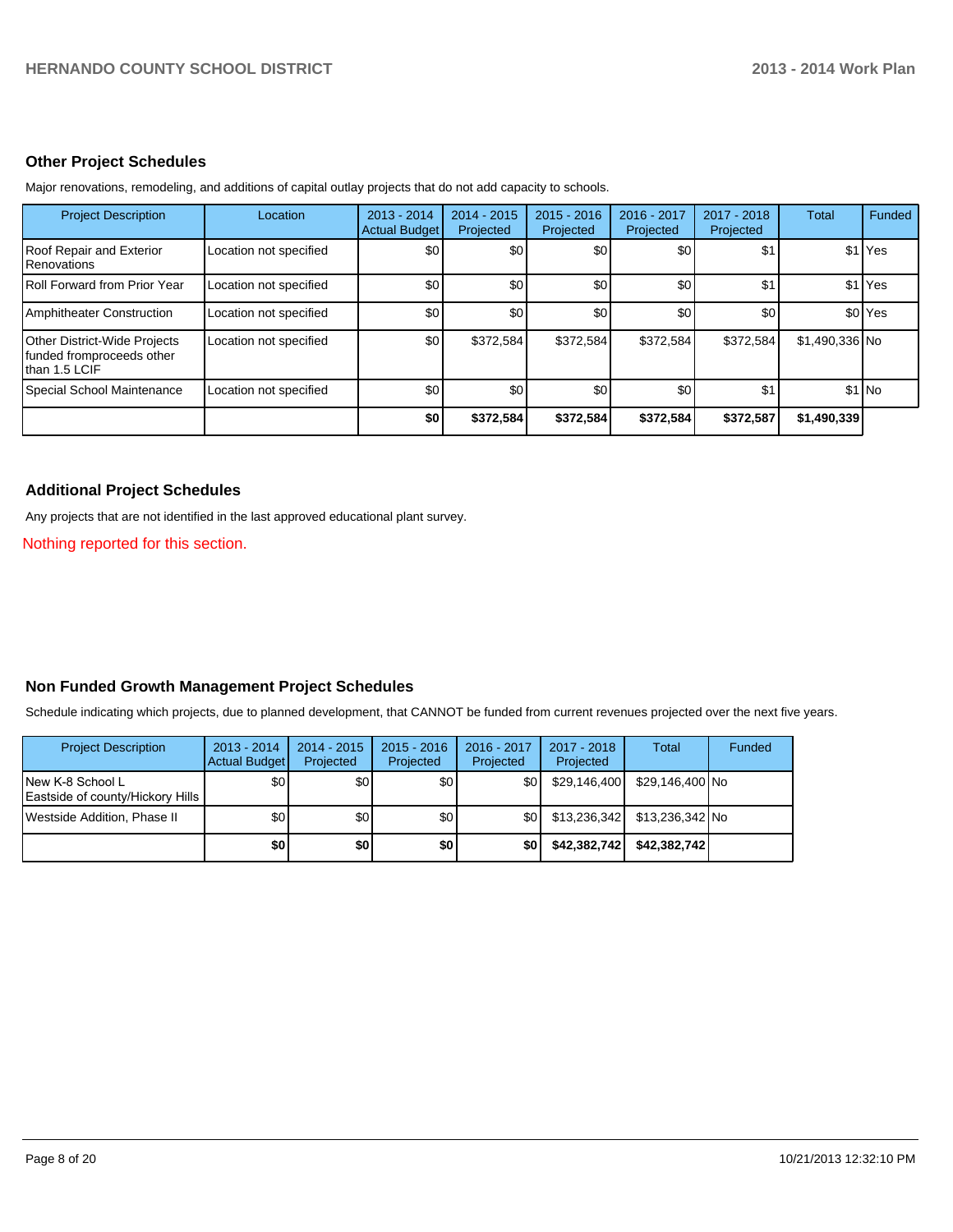#### **Other Project Schedules**

| <b>Project Description</b>                                                 | Location               | $2013 - 2014$<br><b>Actual Budget</b> | $2014 - 2015$<br>Projected | $2015 - 2016$<br>Projected | $2016 - 2017$<br>Projected | 2017 - 2018<br>Projected | <b>Total</b>   | Funded             |
|----------------------------------------------------------------------------|------------------------|---------------------------------------|----------------------------|----------------------------|----------------------------|--------------------------|----------------|--------------------|
| Roof Repair and Exterior<br>Renovations                                    | Location not specified | \$0                                   | \$0                        | \$0                        | \$0                        | \$1                      |                | \$1 Yes            |
| Roll Forward from Prior Year                                               | Location not specified | \$0                                   | \$0                        | \$0                        | \$0                        | \$1                      |                | \$1 Yes            |
| <b>Amphitheater Construction</b>                                           | Location not specified | \$0                                   | \$0                        | \$0                        | \$0                        | \$0                      |                | \$0 <sup>Yes</sup> |
| Other District-Wide Projects<br>funded fromproceeds other<br>than 1.5 LCIF | Location not specified | \$0                                   | \$372.584                  | \$372,584                  | \$372.584                  | \$372.584                | \$1,490,336 No |                    |
| Special School Maintenance                                                 | Location not specified | \$0                                   | \$0                        | \$0                        | \$0                        | \$1                      |                | $$1$ No            |
|                                                                            |                        | \$0                                   | \$372,584                  | \$372,584                  | \$372,584                  | \$372.587                | \$1,490,339    |                    |

Major renovations, remodeling, and additions of capital outlay projects that do not add capacity to schools.

## **Additional Project Schedules**

Any projects that are not identified in the last approved educational plant survey.

Nothing reported for this section.

## **Non Funded Growth Management Project Schedules**

Schedule indicating which projects, due to planned development, that CANNOT be funded from current revenues projected over the next five years.

| <b>Project Description</b>                            | $2013 - 2014$<br>Actual Budget | $2014 - 2015$<br>Projected | $2015 - 2016$<br>Projected | 2016 - 2017<br>Projected | $2017 - 2018$<br>Projected | Total           | Funded |
|-------------------------------------------------------|--------------------------------|----------------------------|----------------------------|--------------------------|----------------------------|-----------------|--------|
| INew K-8 School L<br>Eastside of county/Hickory Hills | \$0 <sub>1</sub>               | \$0 <sub>1</sub>           | \$0 <sub>1</sub>           | \$0 <sub>1</sub>         | \$29,146,400               | \$29,146,400 No |        |
| Westside Addition, Phase II                           | \$0                            | \$0 <sub>1</sub>           | \$0 <sub>1</sub>           | \$OI                     | \$13,236,342               | \$13,236,342 No |        |
|                                                       | \$0                            | \$0                        | \$0                        | \$0                      | \$42,382,742               | \$42.382.742    |        |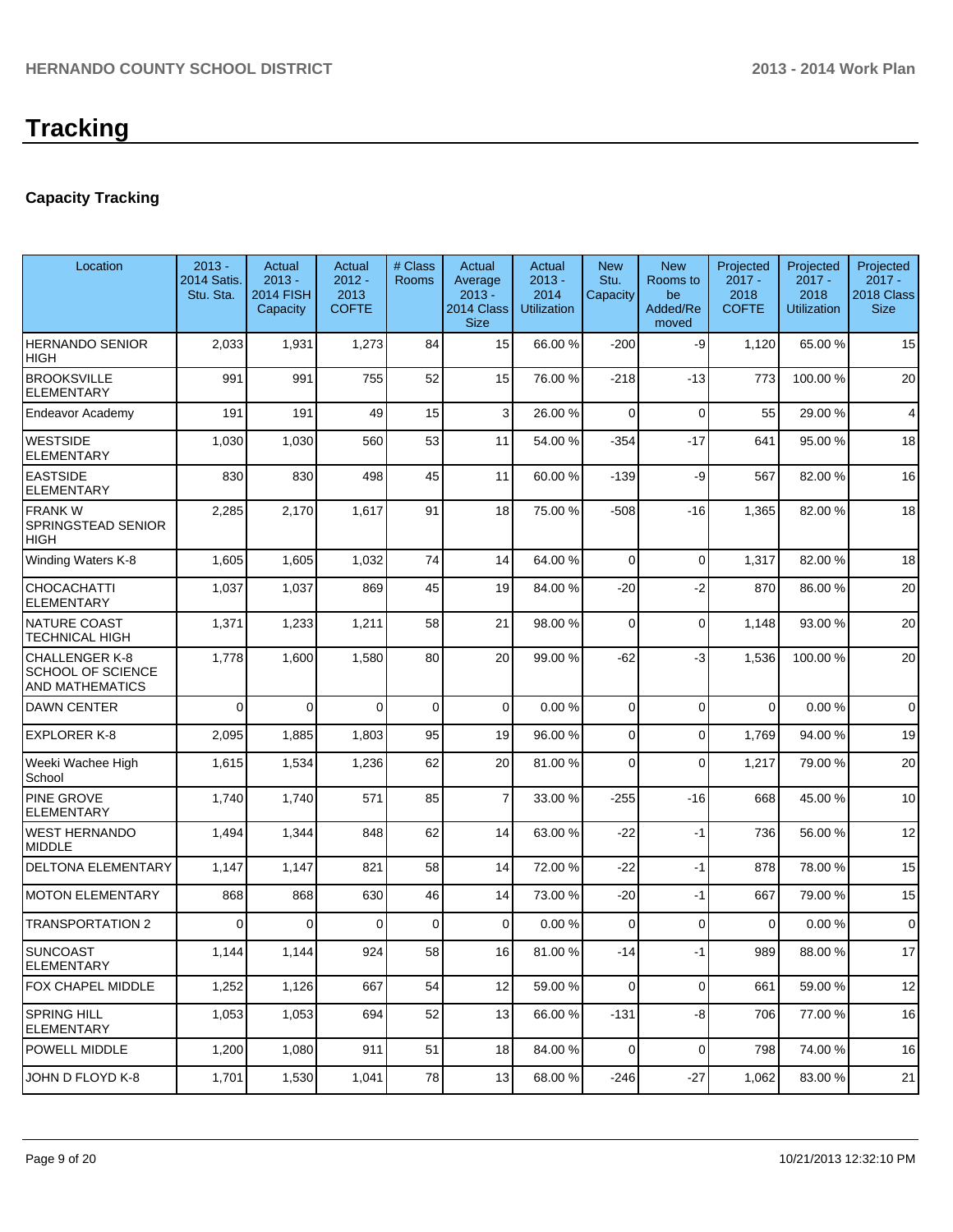# **Capacity Tracking**

| Location                                                                    | $2013 -$<br>2014 Satis.<br>Stu. Sta. | Actual<br>$2013 -$<br><b>2014 FISH</b><br>Capacity | Actual<br>$2012 -$<br>2013<br><b>COFTE</b> | # Class<br><b>Rooms</b> | Actual<br>Average<br>$2013 -$<br>2014 Class<br><b>Size</b> | Actual<br>$2013 -$<br>2014<br><b>Utilization</b> | <b>New</b><br>Stu.<br>Capacity | <b>New</b><br>Rooms to<br>be<br>Added/Re<br>moved | Projected<br>$2017 -$<br>2018<br><b>COFTE</b> | Projected<br>$2017 -$<br>2018<br><b>Utilization</b> | Projected<br>$2017 -$<br>2018 Class<br><b>Size</b> |
|-----------------------------------------------------------------------------|--------------------------------------|----------------------------------------------------|--------------------------------------------|-------------------------|------------------------------------------------------------|--------------------------------------------------|--------------------------------|---------------------------------------------------|-----------------------------------------------|-----------------------------------------------------|----------------------------------------------------|
| <b>HERNANDO SENIOR</b><br>HIGH                                              | 2,033                                | 1,931                                              | 1,273                                      | 84                      | 15                                                         | 66.00 %                                          | $-200$                         | -9                                                | 1,120                                         | 65.00 %                                             | 15                                                 |
| <b>BROOKSVILLE</b><br><b>ELEMENTARY</b>                                     | 991                                  | 991                                                | 755                                        | 52                      | 15                                                         | 76.00 %                                          | $-218$                         | $-13$                                             | 773                                           | 100.00%                                             | 20                                                 |
| Endeavor Academy                                                            | 191                                  | 191                                                | 49                                         | 15                      | 3                                                          | 26.00 %                                          | $\Omega$                       | $\Omega$                                          | 55                                            | 29.00 %                                             | $\overline{4}$                                     |
| <b>WESTSIDE</b><br><b>ELEMENTARY</b>                                        | 1,030                                | 1,030                                              | 560                                        | 53                      | 11                                                         | 54.00 %                                          | $-354$                         | $-17$                                             | 641                                           | 95.00%                                              | 18                                                 |
| <b>EASTSIDE</b><br><b>ELEMENTARY</b>                                        | 830                                  | 830                                                | 498                                        | 45                      | 11                                                         | 60.00 %                                          | $-139$                         | -9                                                | 567                                           | 82.00%                                              | 16                                                 |
| <b>FRANK W</b><br><b>SPRINGSTEAD SENIOR</b><br><b>HIGH</b>                  | 2,285                                | 2,170                                              | 1,617                                      | 91                      | 18                                                         | 75.00 %                                          | $-508$                         | $-16$                                             | 1,365                                         | 82.00%                                              | 18                                                 |
| Winding Waters K-8                                                          | 1,605                                | 1,605                                              | 1,032                                      | 74                      | 14                                                         | 64.00 %                                          | $\Omega$                       | $\Omega$                                          | 1,317                                         | 82.00%                                              | 18                                                 |
| <b>CHOCACHATTI</b><br><b>ELEMENTARY</b>                                     | 1,037                                | 1,037                                              | 869                                        | 45                      | 19                                                         | 84.00 %                                          | $-20$                          | $-2$                                              | 870                                           | 86.00%                                              | 20                                                 |
| NATURE COAST<br><b>TECHNICAL HIGH</b>                                       | 1,371                                | 1,233                                              | 1,211                                      | 58                      | 21                                                         | 98.00 %                                          | $\Omega$                       | $\Omega$                                          | 1,148                                         | 93.00%                                              | 20                                                 |
| <b>CHALLENGER K-8</b><br><b>SCHOOL OF SCIENCE</b><br><b>AND MATHEMATICS</b> | 1,778                                | 1,600                                              | 1,580                                      | 80                      | 20                                                         | 99.00 %                                          | $-62$                          | -3                                                | 1,536                                         | 100.00%                                             | 20                                                 |
| <b>DAWN CENTER</b>                                                          | $\Omega$                             | $\Omega$                                           | $\Omega$                                   | $\mathbf 0$             | $\overline{0}$                                             | 0.00%                                            | $\Omega$                       | $\Omega$                                          | $\Omega$                                      | 0.00%                                               | $\mathbf 0$                                        |
| <b>EXPLORER K-8</b>                                                         | 2,095                                | 1,885                                              | 1,803                                      | 95                      | 19                                                         | 96.00 %                                          | $\mathbf 0$                    | $\Omega$                                          | 1,769                                         | 94.00%                                              | 19                                                 |
| Weeki Wachee High<br>School                                                 | 1,615                                | 1,534                                              | 1,236                                      | 62                      | 20                                                         | 81.00 %                                          | $\mathbf 0$                    | $\Omega$                                          | 1,217                                         | 79.00%                                              | 20                                                 |
| PINE GROVE<br><b>ELEMENTARY</b>                                             | 1,740                                | 1,740                                              | 571                                        | 85                      | $\overline{7}$                                             | 33.00 %                                          | $-255$                         | $-16$                                             | 668                                           | 45.00%                                              | 10                                                 |
| <b>WEST HERNANDO</b><br><b>MIDDLE</b>                                       | 1,494                                | 1,344                                              | 848                                        | 62                      | 14                                                         | 63.00 %                                          | $-22$                          | $-1$                                              | 736                                           | 56.00 %                                             | 12                                                 |
| <b>DELTONA ELEMENTARY</b>                                                   | 1,147                                | 1,147                                              | 821                                        | 58                      | 14                                                         | 72.00 %                                          | $-22$                          | $-1$                                              | 878                                           | 78.00 %                                             | 15                                                 |
| <b>MOTON ELEMENTARY</b>                                                     | 868                                  | 868                                                | 630                                        | 46                      | 14                                                         | 73.00 %                                          | $-20$                          | $-1$                                              | 667                                           | 79.00 %                                             | 15                                                 |
| <b>TRANSPORTATION 2</b>                                                     | $\Omega$                             | 0                                                  | $\Omega$                                   | 0                       | $\Omega$                                                   | 0.00%                                            | $\Omega$                       | $\Omega$                                          | $\Omega$                                      | 0.00%                                               | $\mathbf 0$                                        |
| <b>SUNCOAST</b><br><b>ELEMENTARY</b>                                        | 1,144                                | 1,144                                              | 924                                        | 58                      | 16                                                         | 81.00 %                                          | $-14$                          | - 1                                               | 989                                           | 88.00%                                              | 17                                                 |
| <b>FOX CHAPEL MIDDLE</b>                                                    | 1,252                                | 1,126                                              | 667                                        | 54                      | 12                                                         | 59.00 %                                          | $\overline{0}$                 | $\overline{0}$                                    | 661                                           | 59.00 %                                             | 12                                                 |
| SPRING HILL<br><b>ELEMENTARY</b>                                            | 1,053                                | 1,053                                              | 694                                        | 52                      | 13                                                         | 66.00 %                                          | $-131$                         | -8                                                | 706                                           | 77.00 %                                             | 16                                                 |
| <b>POWELL MIDDLE</b>                                                        | 1,200                                | 1,080                                              | 911                                        | 51                      | 18                                                         | 84.00 %                                          | $\overline{0}$                 | $\overline{0}$                                    | 798                                           | 74.00%                                              | 16                                                 |
| JOHN D FLOYD K-8                                                            | 1,701                                | 1,530                                              | 1,041                                      | 78                      | 13                                                         | 68.00 %                                          | $-246$                         | $-27$                                             | 1,062                                         | 83.00 %                                             | 21                                                 |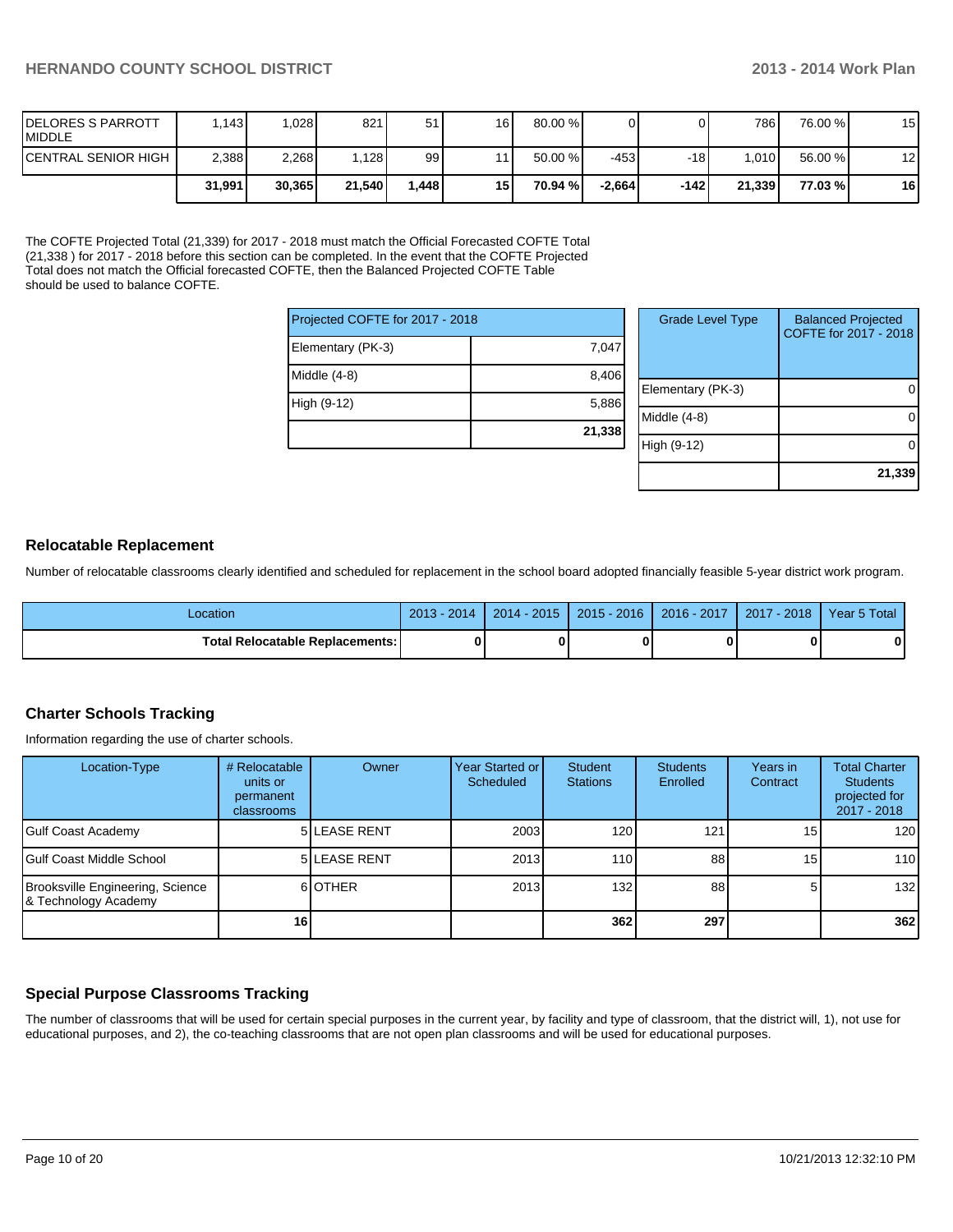| <b>IDELORES S PARROTT</b><br><b>IMIDDLE</b> | .1431  | 028    | 821    | 51     | 16 <sup>1</sup> | $80.00\%$ |          |       | 786     | 76.00 % | 15 |
|---------------------------------------------|--------|--------|--------|--------|-----------------|-----------|----------|-------|---------|---------|----|
| <b>ICENTRAL SENIOR HIGH I</b>               | 2,388  | 2,268  | .128   | 99     |                 | 50.00 %   | -4531    | $-18$ | l.010 l | 56.00 % | 12 |
|                                             | 31.991 | 30.365 | 21.540 | ا 448. | 15 <sup>1</sup> | 70.94 %   | -2.664 l | -1421 | 21.339  | 77.03 % | 16 |

The COFTE Projected Total (21,339) for 2017 - 2018 must match the Official Forecasted COFTE Total (21,338 ) for 2017 - 2018 before this section can be completed. In the event that the COFTE Projected Total does not match the Official forecasted COFTE, then the Balanced Projected COFTE Table should be used to balance COFTE.

| Projected COFTE for 2017 - 2018 |        |
|---------------------------------|--------|
| Elementary (PK-3)               | 7,047  |
| Middle (4-8)                    | 8,406  |
| High (9-12)                     | 5,886  |
|                                 | 21,338 |

| <b>Grade Level Type</b> | <b>Balanced Projected</b><br>COFTE for 2017 - 2018 |
|-------------------------|----------------------------------------------------|
| Elementary (PK-3)       |                                                    |
| Middle $(4-8)$          |                                                    |
| High (9-12)             |                                                    |
|                         | 21,339                                             |

#### **Relocatable Replacement**

Number of relocatable classrooms clearly identified and scheduled for replacement in the school board adopted financially feasible 5-year district work program.

| _ocation                          | $2013 - 3$<br>$-2014$ | $2014 - 2015$ | $2015 - 2016$ | 2016 - 2017 | 2017<br>$-2018$ | Year 5 Total |
|-----------------------------------|-----------------------|---------------|---------------|-------------|-----------------|--------------|
| Total Relocatable Replacements: I |                       |               |               |             |                 | 0            |

#### **Charter Schools Tracking**

Information regarding the use of charter schools.

| Location-Type                                            | # Relocatable<br>units or<br>permanent<br><b>classrooms</b> | Owner               | Year Started or I<br>Scheduled | Student<br><b>Stations</b> | <b>Students</b><br>Enrolled | Years in<br>Contract | <b>Total Charter</b><br><b>Students</b><br>projected for<br>2017 - 2018 |
|----------------------------------------------------------|-------------------------------------------------------------|---------------------|--------------------------------|----------------------------|-----------------------------|----------------------|-------------------------------------------------------------------------|
| Gulf Coast Academy                                       |                                                             | <b>5 LEASE RENT</b> | 2003                           | 120 <sub>l</sub>           | 121                         | 15 <sub>l</sub>      | 120                                                                     |
| lGulf Coast Middle School                                |                                                             | <b>5 LEASE RENT</b> | 2013                           | <b>110</b>                 | 88                          | 15                   | 110                                                                     |
| Brooksville Engineering, Science<br>& Technology Academy |                                                             | 6 OTHER             | 2013                           | 132                        | 88                          | 5                    | 132                                                                     |
|                                                          | 16                                                          |                     |                                | 362                        | 297                         |                      | 362                                                                     |

## **Special Purpose Classrooms Tracking**

The number of classrooms that will be used for certain special purposes in the current year, by facility and type of classroom, that the district will, 1), not use for educational purposes, and 2), the co-teaching classrooms that are not open plan classrooms and will be used for educational purposes.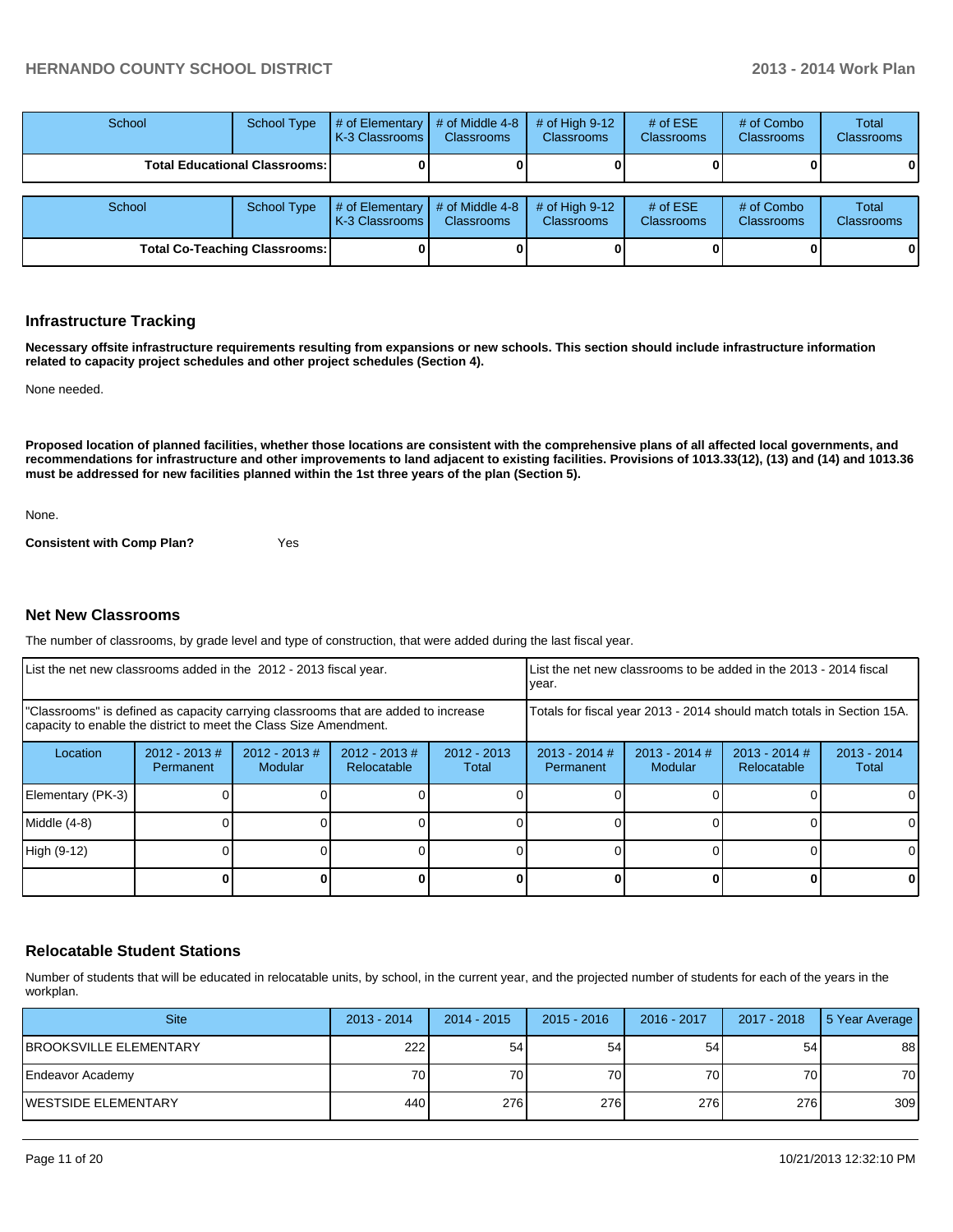| School                               | <b>School Type</b> | # of Elementary<br>LK-3 Classrooms L | # of Middle 4-8<br><b>Classrooms</b> | # of High $9-12$<br><b>Classrooms</b> | # of $ESE$<br><b>Classrooms</b> | # of Combo<br>Classrooms | <b>Total</b><br><b>Classrooms</b> |
|--------------------------------------|--------------------|--------------------------------------|--------------------------------------|---------------------------------------|---------------------------------|--------------------------|-----------------------------------|
| <b>Total Educational Classrooms:</b> |                    |                                      |                                      |                                       |                                 |                          |                                   |
| School                               | <b>School Type</b> | # of Elementary<br>K-3 Classrooms I  | # of Middle 4-8<br><b>Classrooms</b> | # of High $9-12$<br><b>Classrooms</b> | # of $ESE$<br><b>Classrooms</b> | # of Combo<br>Classrooms | <b>Total</b><br><b>Classrooms</b> |
| <b>Total Co-Teaching Classrooms:</b> |                    |                                      |                                      |                                       |                                 |                          | 01                                |

#### **Infrastructure Tracking**

**Necessary offsite infrastructure requirements resulting from expansions or new schools. This section should include infrastructure information related to capacity project schedules and other project schedules (Section 4).**

None needed.

**Proposed location of planned facilities, whether those locations are consistent with the comprehensive plans of all affected local governments, and recommendations for infrastructure and other improvements to land adjacent to existing facilities. Provisions of 1013.33(12), (13) and (14) and 1013.36 must be addressed for new facilities planned within the 1st three years of the plan (Section 5).**

None.

**Consistent with Comp Plan?** Yes

#### **Net New Classrooms**

The number of classrooms, by grade level and type of construction, that were added during the last fiscal year.

| List the net new classrooms added in the 2012 - 2013 fiscal year.                                                                                       |                               |                             |                                                                        |                        | List the net new classrooms to be added in the 2013 - 2014 fiscal<br>Ivear. |                            |                                |                        |
|---------------------------------------------------------------------------------------------------------------------------------------------------------|-------------------------------|-----------------------------|------------------------------------------------------------------------|------------------------|-----------------------------------------------------------------------------|----------------------------|--------------------------------|------------------------|
| "Classrooms" is defined as capacity carrying classrooms that are added to increase<br>capacity to enable the district to meet the Class Size Amendment. |                               |                             | Totals for fiscal year 2013 - 2014 should match totals in Section 15A. |                        |                                                                             |                            |                                |                        |
| Location                                                                                                                                                | $2012 - 2013 \#$<br>Permanent | $2012 - 2013 \#$<br>Modular | $2012 - 2013 \#$<br>Relocatable                                        | $2012 - 2013$<br>Total | $2013 - 2014$ #<br>Permanent                                                | $2013 - 2014$ #<br>Modular | $2013 - 2014$ #<br>Relocatable | $2013 - 2014$<br>Total |
| Elementary (PK-3)                                                                                                                                       |                               |                             |                                                                        |                        |                                                                             |                            |                                | 0                      |
| Middle (4-8)                                                                                                                                            |                               |                             |                                                                        |                        |                                                                             |                            |                                | 0                      |
| High (9-12)                                                                                                                                             |                               |                             |                                                                        |                        |                                                                             |                            |                                | $\Omega$               |
|                                                                                                                                                         |                               |                             |                                                                        |                        |                                                                             |                            |                                | 0                      |

#### **Relocatable Student Stations**

Number of students that will be educated in relocatable units, by school, in the current year, and the projected number of students for each of the years in the workplan.

| <b>Site</b>                    | $2013 - 2014$ | $2014 - 2015$ | $2015 - 2016$ | 2016 - 2017 | 2017 - 2018 | 5 Year Average |
|--------------------------------|---------------|---------------|---------------|-------------|-------------|----------------|
| <b>IBROOKSVILLE ELEMENTARY</b> | 222           | 54            | 54            | 54          | 54          | 88             |
| Endeavor Academy               | 70 l          | 70I           | 70 l          | 70          | 70          | 70             |
| IWESTSIDE ELEMENTARY           | 440           | 276           | 276           | 276         | 276         | 309            |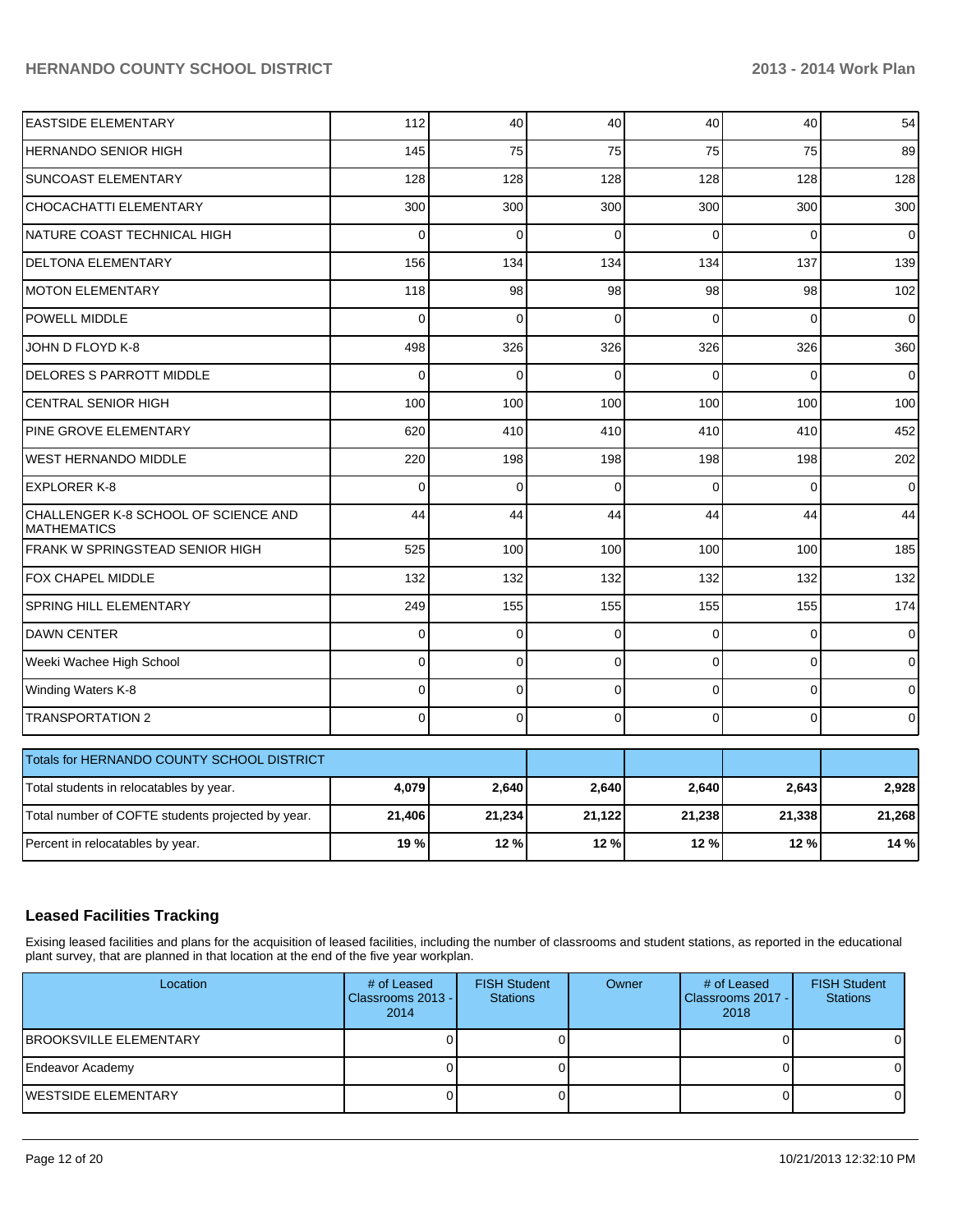| <b>EASTSIDE ELEMENTARY</b>                                 | 112         | 40          | 40          | 40       | 40          | 54             |
|------------------------------------------------------------|-------------|-------------|-------------|----------|-------------|----------------|
| <b>HERNANDO SENIOR HIGH</b>                                | 145         | 75          | 75          | 75       | 75          | 89             |
| <b>SUNCOAST ELEMENTARY</b>                                 | 128         | 128         | 128         | 128      | 128         | 128            |
| CHOCACHATTI ELEMENTARY                                     | 300         | 300         | 300         | 300      | 300         | 300            |
| NATURE COAST TECHNICAL HIGH                                | 0           | 0           | $\Omega$    | $\Omega$ | $\Omega$    | 0              |
| DELTONA ELEMENTARY                                         | 156         | 134         | 134         | 134      | 137         | 139            |
| <b>MOTON ELEMENTARY</b>                                    | 118         | 98          | 98          | 98       | 98          | 102            |
| POWELL MIDDLE                                              | $\Omega$    | $\Omega$    | $\Omega$    | $\Omega$ | $\Omega$    | $\overline{0}$ |
| JOHN D FLOYD K-8                                           | 498         | 326         | 326         | 326      | 326         | 360            |
| <b>DELORES S PARROTT MIDDLE</b>                            | $\Omega$    | 0           | $\Omega$    | $\Omega$ | $\Omega$    | 0              |
| <b>CENTRAL SENIOR HIGH</b>                                 | 100         | 100         | 100         | 100      | 100         | 100            |
| PINE GROVE ELEMENTARY                                      | 620         | 410         | 410         | 410      | 410         | 452            |
| <b>WEST HERNANDO MIDDLE</b>                                | 220         | 198         | 198         | 198      | 198         | 202            |
| <b>EXPLORER K-8</b>                                        | $\mathbf 0$ | $\mathbf 0$ | 0           | $\Omega$ | $\Omega$    | 0              |
| CHALLENGER K-8 SCHOOL OF SCIENCE AND<br><b>MATHEMATICS</b> | 44          | 44          | 44          | 44       | 44          | 44             |
| FRANK W SPRINGSTEAD SENIOR HIGH                            | 525         | 100         | 100         | 100      | 100         | 185            |
| FOX CHAPEL MIDDLE                                          | 132         | 132         | 132         | 132      | 132         | 132            |
| SPRING HILL ELEMENTARY                                     | 249         | 155         | 155         | 155      | 155         | 174            |
| <b>DAWN CENTER</b>                                         | $\mathbf 0$ | 0           | 0           | $\Omega$ | $\Omega$    | $\overline{0}$ |
| Weeki Wachee High School                                   | 0           | 0           | $\mathbf 0$ | $\Omega$ | $\Omega$    | $\overline{0}$ |
| Winding Waters K-8                                         | $\Omega$    | 0           | 0           | $\Omega$ | $\Omega$    | $\mathbf{O}$   |
| <b>TRANSPORTATION 2</b>                                    | $\mathbf 0$ | 0           | 0           | $\Omega$ | $\mathbf 0$ | $\overline{0}$ |
| Totals for HERNANDO COUNTY SCHOOL DISTRICT                 |             |             |             |          |             |                |
| Total students in relocatables by year.                    | 4,079       | 2,640       | 2,640       | 2,640    | 2,643       | 2,928          |
| Total number of COFTE students projected by year.          | 21,406      | 21,234      | 21,122      | 21,238   | 21,338      | 21,268         |
| Percent in relocatables by year.                           | 19%         | 12%         | 12 %        | 12 %     | 12%         | 14 %           |

## **Leased Facilities Tracking**

Exising leased facilities and plans for the acquisition of leased facilities, including the number of classrooms and student stations, as reported in the educational plant survey, that are planned in that location at the end of the five year workplan.

| Location                       | # of Leased<br>Classrooms 2013 -<br>2014 | <b>FISH Student</b><br><b>Stations</b> | Owner | # of Leased<br><b>I</b> Classrooms 2017 - <b>I</b><br>2018 | <b>FISH Student</b><br><b>Stations</b> |
|--------------------------------|------------------------------------------|----------------------------------------|-------|------------------------------------------------------------|----------------------------------------|
| <b>IBROOKSVILLE ELEMENTARY</b> |                                          |                                        |       |                                                            |                                        |
| Endeavor Academy               |                                          |                                        |       |                                                            |                                        |
| <b>IWESTSIDE ELEMENTARY</b>    |                                          |                                        |       |                                                            |                                        |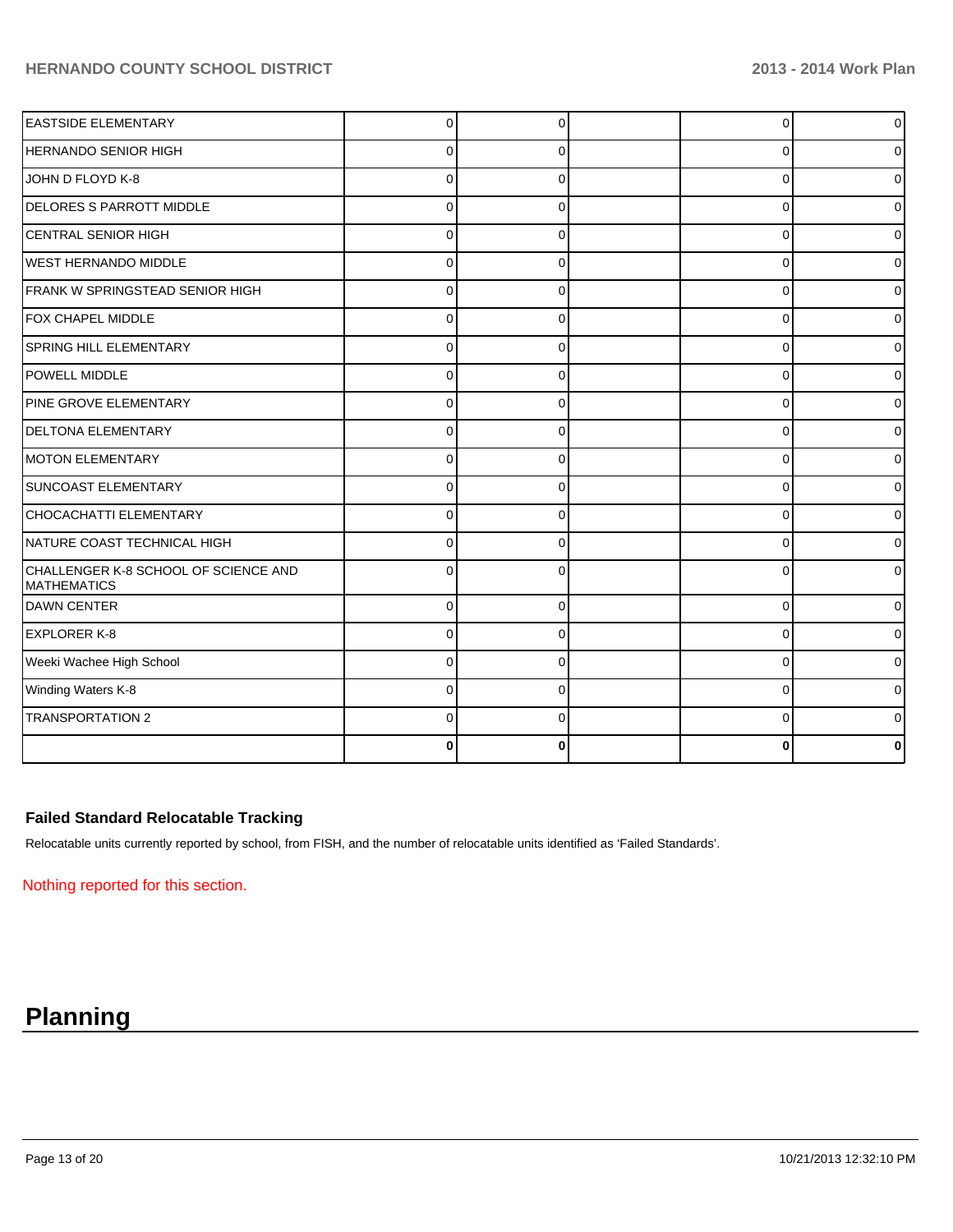| <b>EASTSIDE ELEMENTARY</b>                                 | 0           | $\Omega$ | 0        | $\overline{0}$ |
|------------------------------------------------------------|-------------|----------|----------|----------------|
| HERNANDO SENIOR HIGH                                       | 0           | 0        | $\Omega$ | Οl             |
| JOHN D FLOYD K-8                                           | $\Omega$    | ∩        | $\Omega$ | 0              |
| <b>DELORES S PARROTT MIDDLE</b>                            | $\mathbf 0$ | $\Omega$ | 0        | 0              |
| <b>CENTRAL SENIOR HIGH</b>                                 | $\Omega$    | 0        | 0        | 0              |
| <b>WEST HERNANDO MIDDLE</b>                                | $\Omega$    |          | $\Omega$ | Οl             |
| FRANK W SPRINGSTEAD SENIOR HIGH                            | $\Omega$    | 0        | $\Omega$ | 01             |
| FOX CHAPEL MIDDLE                                          | $\Omega$    | $\Omega$ | $\Omega$ | 0              |
| SPRING HILL ELEMENTARY                                     | 0           | 0        | 0        | 0              |
| POWELL MIDDLE                                              | $\Omega$    | $\Omega$ | $\Omega$ | 0              |
| PINE GROVE ELEMENTARY                                      | $\Omega$    |          | $\Omega$ | 0              |
| <b>DELTONA ELEMENTARY</b>                                  | $\Omega$    | 0        | 0        | 01             |
| MOTON ELEMENTARY                                           | $\Omega$    | $\Omega$ | 0        | 0              |
| SUNCOAST ELEMENTARY                                        | $\Omega$    | $\Omega$ | $\Omega$ | 0              |
| CHOCACHATTI ELEMENTARY                                     | $\Omega$    | $\Omega$ | 0        | 0              |
| NATURE COAST TECHNICAL HIGH                                | 0           |          | $\Omega$ | 0              |
| CHALLENGER K-8 SCHOOL OF SCIENCE AND<br><b>MATHEMATICS</b> | 0           |          | 0        | ΩI             |
| <b>IDAWN CENTER</b>                                        | $\Omega$    | 0        | 0        | 01             |
| <b>EXPLORER K-8</b>                                        | $\Omega$    | $\Omega$ | $\Omega$ | 0              |
| Weeki Wachee High School                                   | $\Omega$    | $\Omega$ | $\Omega$ | 01             |
| Winding Waters K-8                                         | $\Omega$    | $\Omega$ | 0        | 0              |
| <b>TRANSPORTATION 2</b>                                    | 0           |          | $\Omega$ | 0              |
|                                                            | $\bf{0}$    | ŋ        | ŋ        | 0              |

#### **Failed Standard Relocatable Tracking**

Relocatable units currently reported by school, from FISH, and the number of relocatable units identified as 'Failed Standards'.

Nothing reported for this section.

# **Planning**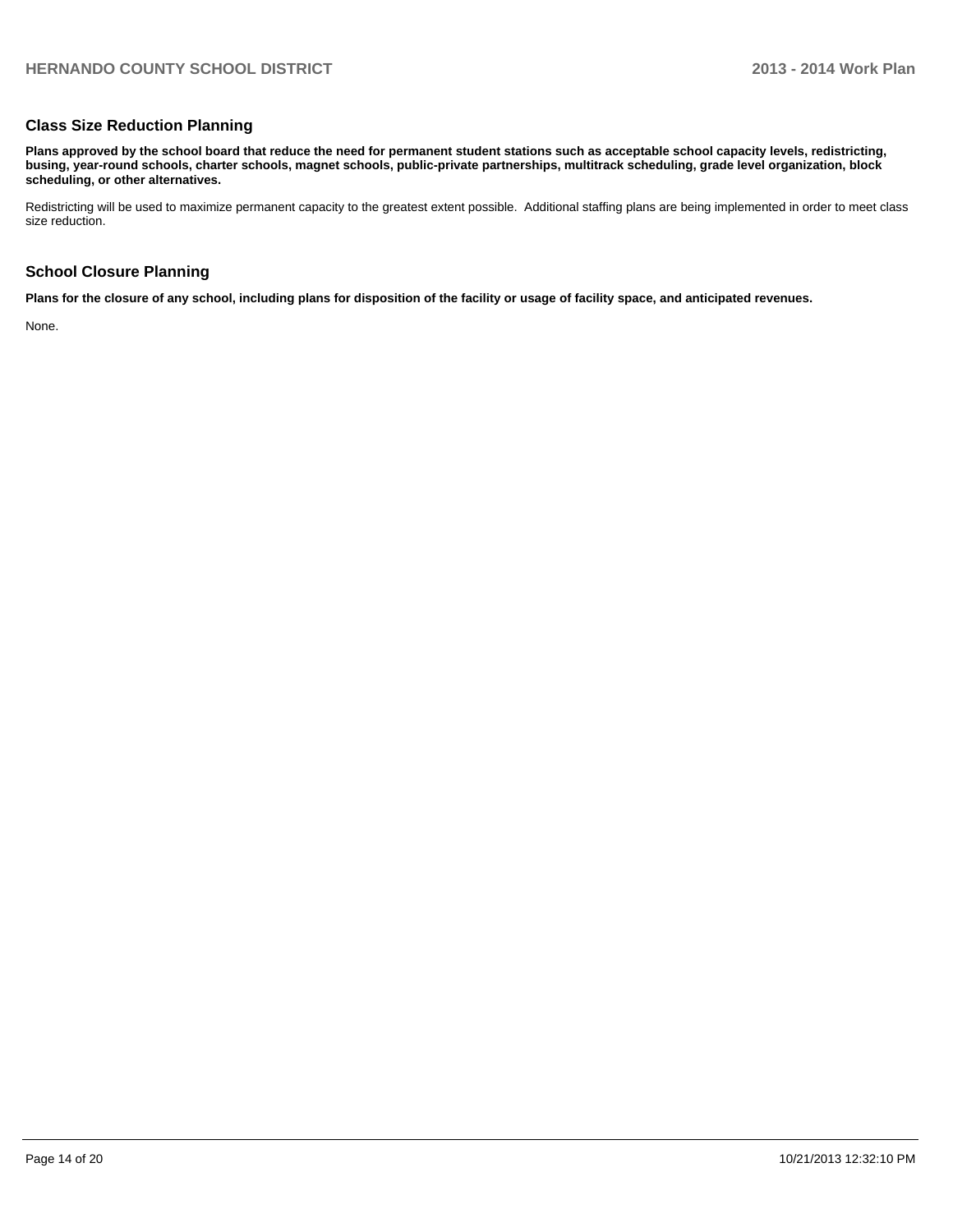#### **Class Size Reduction Planning**

**Plans approved by the school board that reduce the need for permanent student stations such as acceptable school capacity levels, redistricting, busing, year-round schools, charter schools, magnet schools, public-private partnerships, multitrack scheduling, grade level organization, block scheduling, or other alternatives.**

Redistricting will be used to maximize permanent capacity to the greatest extent possible. Additional staffing plans are being implemented in order to meet class size reduction.

#### **School Closure Planning**

**Plans for the closure of any school, including plans for disposition of the facility or usage of facility space, and anticipated revenues.**

None.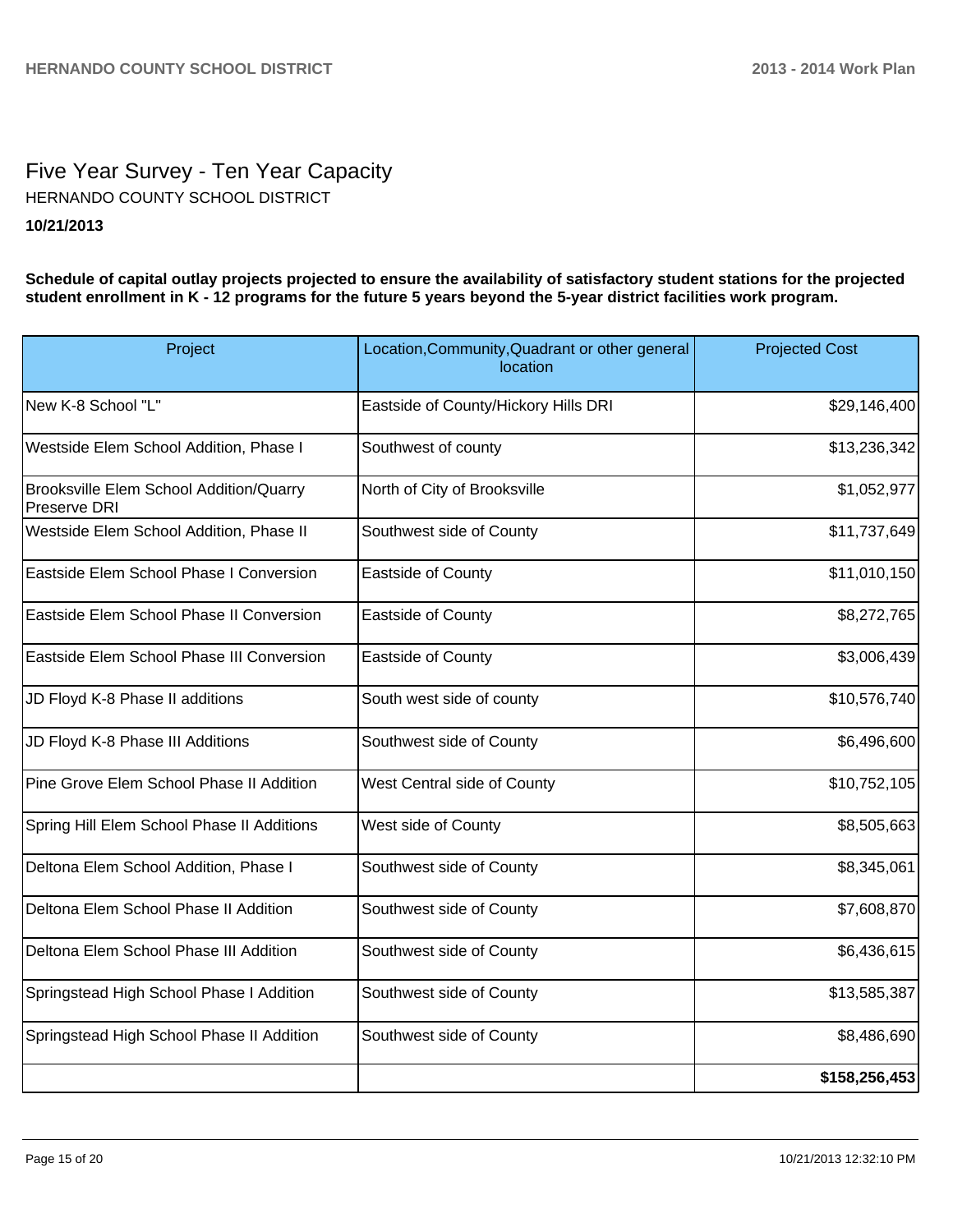# Five Year Survey - Ten Year Capacity **10/21/2013** HERNANDO COUNTY SCHOOL DISTRICT

**Schedule of capital outlay projects projected to ensure the availability of satisfactory student stations for the projected student enrollment in K - 12 programs for the future 5 years beyond the 5-year district facilities work program.**

| Project                                                 | Location, Community, Quadrant or other general<br>location | <b>Projected Cost</b> |
|---------------------------------------------------------|------------------------------------------------------------|-----------------------|
| New K-8 School "L"                                      | Eastside of County/Hickory Hills DRI                       | \$29,146,400          |
| Westside Elem School Addition, Phase I                  | Southwest of county                                        | \$13,236,342          |
| Brooksville Elem School Addition/Quarry<br>Preserve DRI | North of City of Brooksville                               | \$1,052,977           |
| Westside Elem School Addition, Phase II                 | Southwest side of County                                   | \$11,737,649          |
| Eastside Elem School Phase I Conversion                 | Eastside of County                                         | \$11,010,150          |
| Eastside Elem School Phase II Conversion                | <b>Eastside of County</b>                                  | \$8,272,765           |
| Eastside Elem School Phase III Conversion               | Eastside of County                                         | \$3,006,439           |
| JD Floyd K-8 Phase II additions                         | South west side of county                                  | \$10,576,740          |
| JD Floyd K-8 Phase III Additions                        | Southwest side of County                                   | \$6,496,600           |
| Pine Grove Elem School Phase II Addition                | West Central side of County                                | \$10,752,105          |
| Spring Hill Elem School Phase II Additions              | West side of County                                        | \$8,505,663           |
| Deltona Elem School Addition, Phase I                   | Southwest side of County                                   | \$8,345,061           |
| Deltona Elem School Phase II Addition                   | Southwest side of County                                   | \$7,608,870           |
| Deltona Elem School Phase III Addition                  | Southwest side of County                                   | \$6,436,615           |
| Springstead High School Phase I Addition                | Southwest side of County                                   | \$13,585,387          |
| Springstead High School Phase II Addition               | Southwest side of County                                   | \$8,486,690           |
|                                                         |                                                            | \$158,256,453         |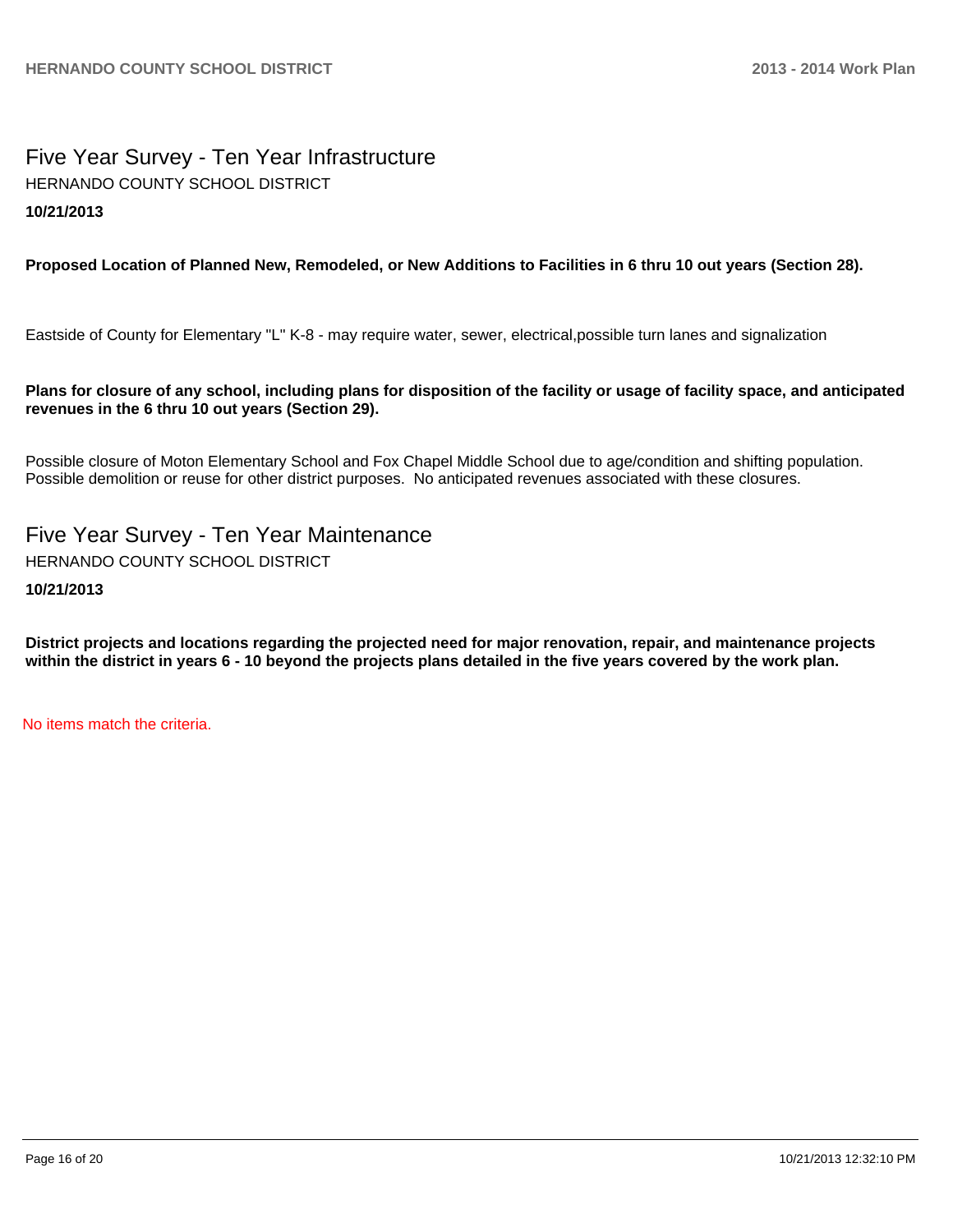# Five Year Survey - Ten Year Infrastructure **10/21/2013** HERNANDO COUNTY SCHOOL DISTRICT

# **Proposed Location of Planned New, Remodeled, or New Additions to Facilities in 6 thru 10 out years (Section 28).**

Eastside of County for Elementary "L" K-8 - may require water, sewer, electrical,possible turn lanes and signalization

## **Plans for closure of any school, including plans for disposition of the facility or usage of facility space, and anticipated revenues in the 6 thru 10 out years (Section 29).**

Possible closure of Moton Elementary School and Fox Chapel Middle School due to age/condition and shifting population. Possible demolition or reuse for other district purposes. No anticipated revenues associated with these closures.

Five Year Survey - Ten Year Maintenance **10/21/2013** HERNANDO COUNTY SCHOOL DISTRICT

**District projects and locations regarding the projected need for major renovation, repair, and maintenance projects within the district in years 6 - 10 beyond the projects plans detailed in the five years covered by the work plan.**

No items match the criteria.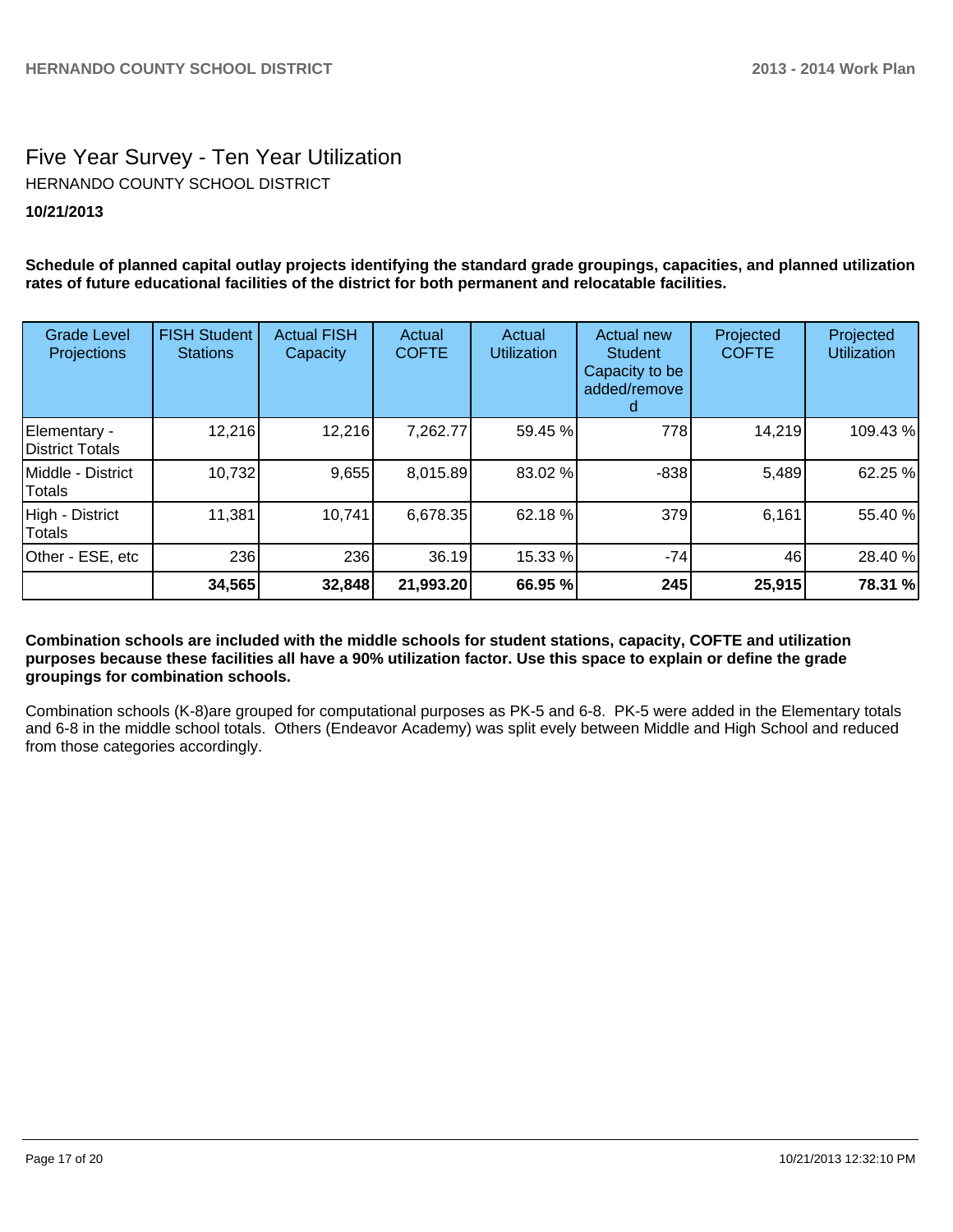# Five Year Survey - Ten Year Utilization **10/21/2013** HERNANDO COUNTY SCHOOL DISTRICT

**Schedule of planned capital outlay projects identifying the standard grade groupings, capacities, and planned utilization rates of future educational facilities of the district for both permanent and relocatable facilities.**

| <b>Grade Level</b><br>Projections | <b>FISH Student</b><br><b>Stations</b> | <b>Actual FISH</b><br>Capacity | Actual<br><b>COFTE</b> | Actual<br><b>Utilization</b> | <b>Actual new</b><br><b>Student</b><br>Capacity to be<br>added/remove | Projected<br><b>COFTE</b> | Projected<br><b>Utilization</b> |
|-----------------------------------|----------------------------------------|--------------------------------|------------------------|------------------------------|-----------------------------------------------------------------------|---------------------------|---------------------------------|
| Elementary -<br>District Totals   | 12,216                                 | 12,216                         | 7,262.77               | 59.45 %                      | 778                                                                   | 14,219                    | 109.43%                         |
| IMiddle - District<br>Totals      | 10,732                                 | 9,655                          | 8,015.89               | 83.02 %                      | $-838$                                                                | 5,489                     | 62.25 %                         |
| High - District<br>Totals         | 11,381                                 | 10,741                         | 6,678.35               | 62.18 %                      | 379                                                                   | 6,161                     | 55.40 %                         |
| Other - ESE, etc                  | 236                                    | 236                            | 36.19                  | 15.33 %                      | $-74$                                                                 | 46                        | 28.40 %                         |
|                                   | 34,565                                 | 32,848                         | 21,993.20              | 66.95 %                      | 245                                                                   | 25,915                    | 78.31 %                         |

**Combination schools are included with the middle schools for student stations, capacity, COFTE and utilization purposes because these facilities all have a 90% utilization factor. Use this space to explain or define the grade groupings for combination schools.**

Combination schools (K-8)are grouped for computational purposes as PK-5 and 6-8. PK-5 were added in the Elementary totals and 6-8 in the middle school totals. Others (Endeavor Academy) was split evely between Middle and High School and reduced from those categories accordingly.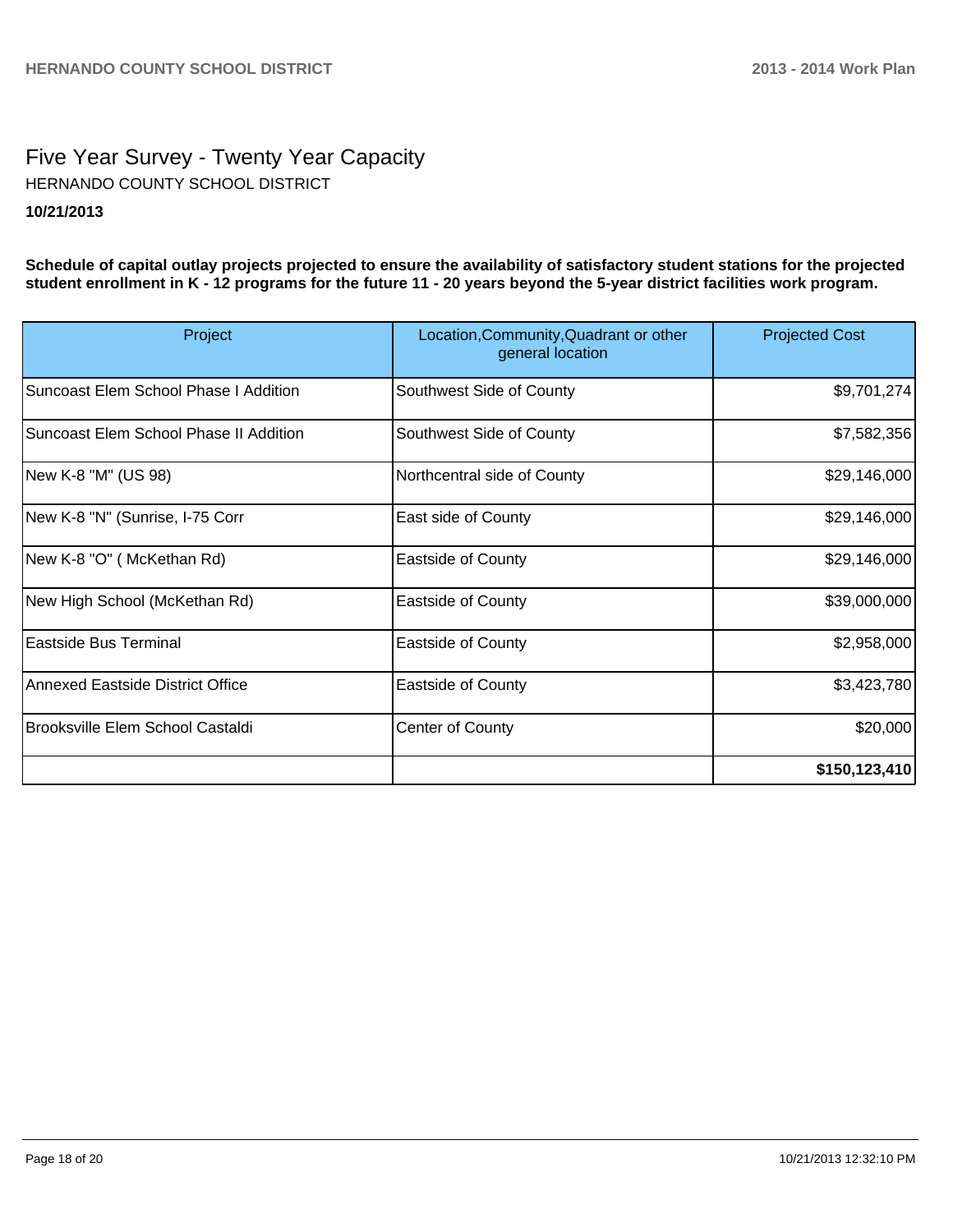# Five Year Survey - Twenty Year Capacity **10/21/2013** HERNANDO COUNTY SCHOOL DISTRICT

**Schedule of capital outlay projects projected to ensure the availability of satisfactory student stations for the projected student enrollment in K - 12 programs for the future 11 - 20 years beyond the 5-year district facilities work program.**

| Project                                | Location, Community, Quadrant or other<br>general location | <b>Projected Cost</b> |
|----------------------------------------|------------------------------------------------------------|-----------------------|
| Suncoast Elem School Phase I Addition  | Southwest Side of County                                   | \$9,701,274]          |
| Suncoast Elem School Phase II Addition | Southwest Side of County                                   | \$7,582,356           |
| New K-8 "M" (US 98)                    | Northcentral side of County                                | \$29,146,000          |
| New K-8 "N" (Sunrise, I-75 Corr        | East side of County                                        | \$29,146,000          |
| New K-8 "O" ( McKethan Rd)             | <b>Eastside of County</b>                                  | \$29,146,000          |
| New High School (McKethan Rd)          | <b>Eastside of County</b>                                  | \$39,000,000          |
| Eastside Bus Terminal                  | <b>Eastside of County</b>                                  | \$2,958,000           |
| Annexed Eastside District Office       | <b>Eastside of County</b>                                  | \$3,423,780           |
| Brooksville Elem School Castaldi       | <b>Center of County</b>                                    | \$20,000              |
|                                        |                                                            | \$150, 123, 410       |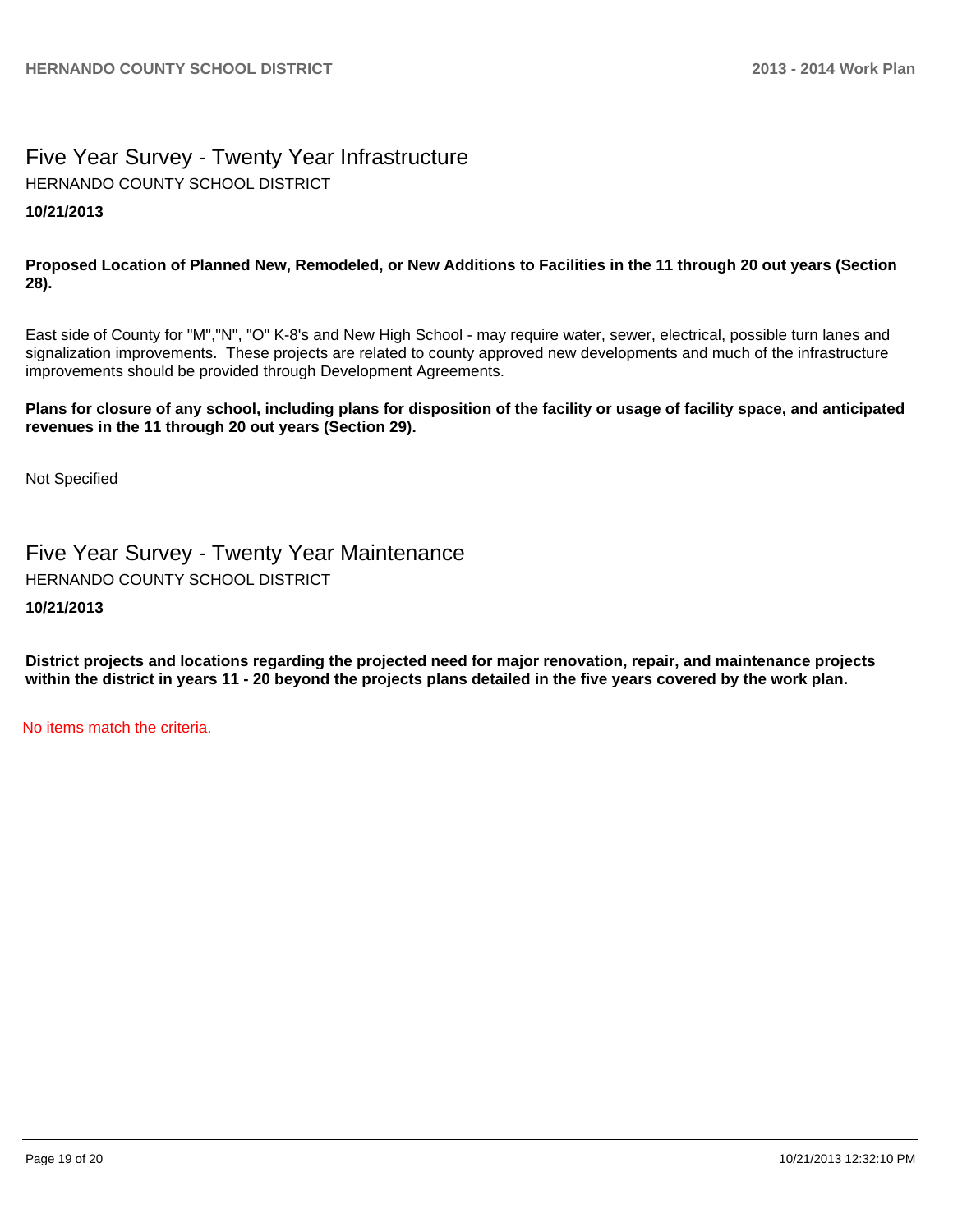# Five Year Survey - Twenty Year Infrastructure **10/21/2013** HERNANDO COUNTY SCHOOL DISTRICT

## **Proposed Location of Planned New, Remodeled, or New Additions to Facilities in the 11 through 20 out years (Section 28).**

East side of County for "M","N", "O" K-8's and New High School - may require water, sewer, electrical, possible turn lanes and signalization improvements. These projects are related to county approved new developments and much of the infrastructure improvements should be provided through Development Agreements.

## **Plans for closure of any school, including plans for disposition of the facility or usage of facility space, and anticipated revenues in the 11 through 20 out years (Section 29).**

Not Specified

Five Year Survey - Twenty Year Maintenance HERNANDO COUNTY SCHOOL DISTRICT

**10/21/2013**

**District projects and locations regarding the projected need for major renovation, repair, and maintenance projects within the district in years 11 - 20 beyond the projects plans detailed in the five years covered by the work plan.**

No items match the criteria.